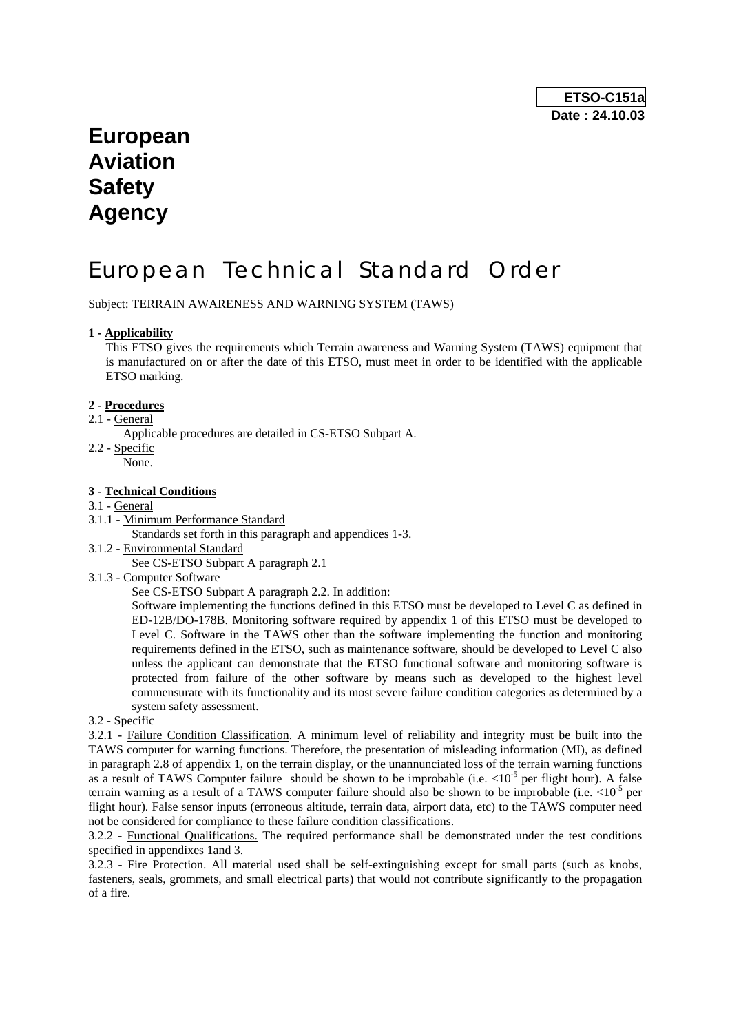# **European Aviation Safety Agency**

# European Technical Standard Order

Subject: TERRAIN AWARENESS AND WARNING SYSTEM (TAWS)

#### **1 - Applicability**

This ETSO gives the requirements which Terrain awareness and Warning System (TAWS) equipment that is manufactured on or after the date of this ETSO, must meet in order to be identified with the applicable ETSO marking.

#### **2 - Procedures**

2.1 - General

Applicable procedures are detailed in CS-ETSO Subpart A.

- 2.2 Specific
	- None.

#### **3 - Technical Conditions**

#### 3.1 - General

3.1.1 - Minimum Performance Standard

Standards set forth in this paragraph and appendices 1-3.

3.1.2 - Environmental Standard

See CS-ETSO Subpart A paragraph 2.1

3.1.3 - Computer Software

See CS-ETSO Subpart A paragraph 2.2. In addition:

Software implementing the functions defined in this ETSO must be developed to Level C as defined in ED-12B/DO-178B. Monitoring software required by appendix 1 of this ETSO must be developed to Level C. Software in the TAWS other than the software implementing the function and monitoring requirements defined in the ETSO, such as maintenance software, should be developed to Level C also unless the applicant can demonstrate that the ETSO functional software and monitoring software is protected from failure of the other software by means such as developed to the highest level commensurate with its functionality and its most severe failure condition categories as determined by a system safety assessment.

3.2 - Specific

3.2.1 - Failure Condition Classification. A minimum level of reliability and integrity must be built into the TAWS computer for warning functions. Therefore, the presentation of misleading information (MI), as defined in paragraph 2.8 of appendix 1, on the terrain display, or the unannunciated loss of the terrain warning functions as a result of TAWS Computer failure should be shown to be improbable (i.e.  $\langle 10^{-5}$  per flight hour). A false terrain warning as a result of a TAWS computer failure should also be shown to be improbable (i.e.  $\langle 10^{-5}$  per flight hour). False sensor inputs (erroneous altitude, terrain data, airport data, etc) to the TAWS computer need not be considered for compliance to these failure condition classifications.

3.2.2 - Functional Qualifications. The required performance shall be demonstrated under the test conditions specified in appendixes 1and 3.

3.2.3 - Fire Protection. All material used shall be self-extinguishing except for small parts (such as knobs, fasteners, seals, grommets, and small electrical parts) that would not contribute significantly to the propagation of a fire.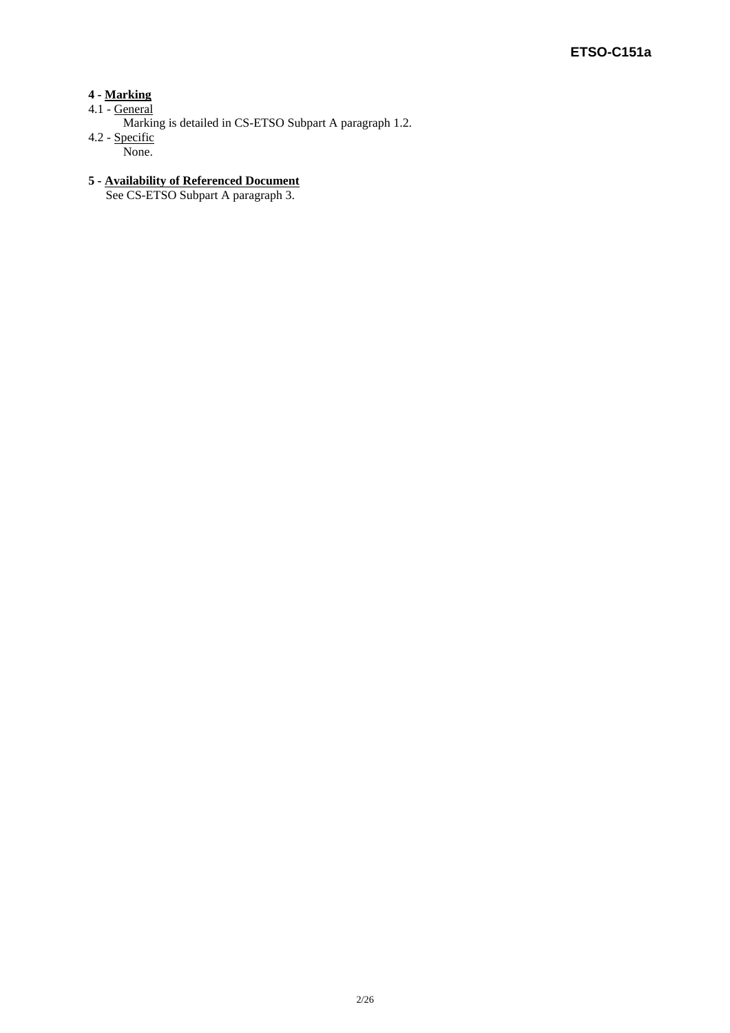# **4 - Marking**

- 4.1 General
	- Marking is detailed in CS-ETSO Subpart A paragraph 1.2.
- 4.2 Specific None.

# **5 - Availability of Referenced Document**

See CS-ETSO Subpart A paragraph 3.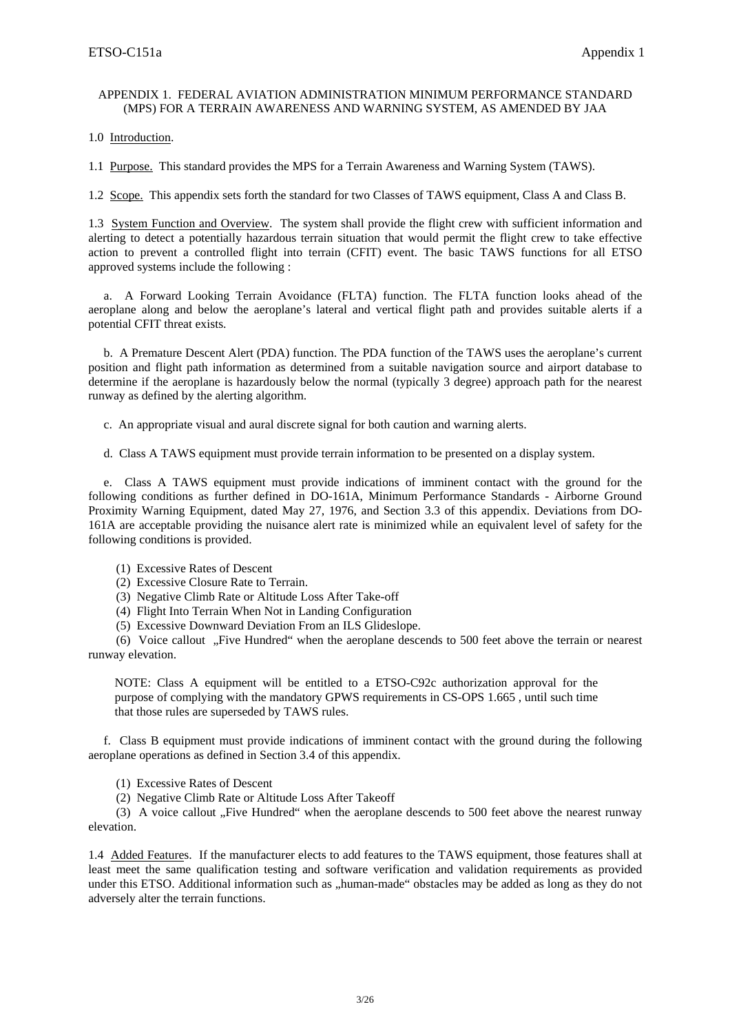#### APPENDIX 1. FEDERAL AVIATION ADMINISTRATION MINIMUM PERFORMANCE STANDARD (MPS) FOR A TERRAIN AWARENESS AND WARNING SYSTEM, AS AMENDED BY JAA

1.0 Introduction.

1.1 Purpose. This standard provides the MPS for a Terrain Awareness and Warning System (TAWS).

1.2 Scope. This appendix sets forth the standard for two Classes of TAWS equipment, Class A and Class B.

1.3 System Function and Overview. The system shall provide the flight crew with sufficient information and alerting to detect a potentially hazardous terrain situation that would permit the flight crew to take effective action to prevent a controlled flight into terrain (CFIT) event. The basic TAWS functions for all ETSO approved systems include the following :

 a. A Forward Looking Terrain Avoidance (FLTA) function. The FLTA function looks ahead of the aeroplane along and below the aeroplane's lateral and vertical flight path and provides suitable alerts if a potential CFIT threat exists.

 b. A Premature Descent Alert (PDA) function. The PDA function of the TAWS uses the aeroplane's current position and flight path information as determined from a suitable navigation source and airport database to determine if the aeroplane is hazardously below the normal (typically 3 degree) approach path for the nearest runway as defined by the alerting algorithm.

c. An appropriate visual and aural discrete signal for both caution and warning alerts.

d. Class A TAWS equipment must provide terrain information to be presented on a display system.

 e. Class A TAWS equipment must provide indications of imminent contact with the ground for the following conditions as further defined in DO-161A, Minimum Performance Standards - Airborne Ground Proximity Warning Equipment, dated May 27, 1976, and Section 3.3 of this appendix. Deviations from DO-161A are acceptable providing the nuisance alert rate is minimized while an equivalent level of safety for the following conditions is provided.

- (1) Excessive Rates of Descent
- (2) Excessive Closure Rate to Terrain.
- (3) Negative Climb Rate or Altitude Loss After Take-off
- (4) Flight Into Terrain When Not in Landing Configuration
- (5) Excessive Downward Deviation From an ILS Glideslope.

(6) Voice callout "Five Hundred" when the aeroplane descends to 500 feet above the terrain or nearest runway elevation.

NOTE: Class A equipment will be entitled to a ETSO-C92c authorization approval for the purpose of complying with the mandatory GPWS requirements in CS-OPS 1.665 , until such time that those rules are superseded by TAWS rules.

 f. Class B equipment must provide indications of imminent contact with the ground during the following aeroplane operations as defined in Section 3.4 of this appendix.

(1) Excessive Rates of Descent

(2) Negative Climb Rate or Altitude Loss After Takeoff

(3) A voice callout "Five Hundred" when the aeroplane descends to 500 feet above the nearest runway elevation.

1.4 Added Features. If the manufacturer elects to add features to the TAWS equipment, those features shall at least meet the same qualification testing and software verification and validation requirements as provided under this ETSO. Additional information such as "human-made" obstacles may be added as long as they do not adversely alter the terrain functions.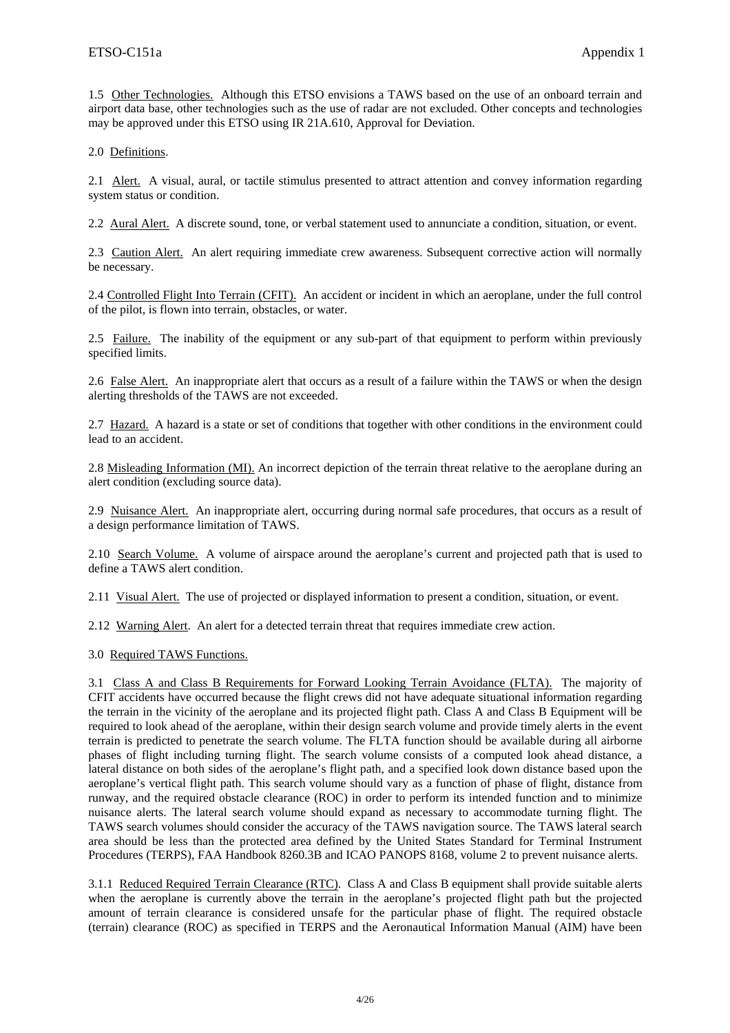1.5 Other Technologies. Although this ETSO envisions a TAWS based on the use of an onboard terrain and airport data base, other technologies such as the use of radar are not excluded. Other concepts and technologies may be approved under this ETSO using IR 21A.610, Approval for Deviation.

2.0 Definitions.

2.1 Alert. A visual, aural, or tactile stimulus presented to attract attention and convey information regarding system status or condition.

2.2 Aural Alert. A discrete sound, tone, or verbal statement used to annunciate a condition, situation, or event.

2.3 Caution Alert. An alert requiring immediate crew awareness. Subsequent corrective action will normally be necessary.

2.4 Controlled Flight Into Terrain (CFIT). An accident or incident in which an aeroplane, under the full control of the pilot, is flown into terrain, obstacles, or water.

2.5 Failure. The inability of the equipment or any sub-part of that equipment to perform within previously specified limits.

2.6 False Alert. An inappropriate alert that occurs as a result of a failure within the TAWS or when the design alerting thresholds of the TAWS are not exceeded.

2.7 Hazard. A hazard is a state or set of conditions that together with other conditions in the environment could lead to an accident.

2.8 Misleading Information (MI). An incorrect depiction of the terrain threat relative to the aeroplane during an alert condition (excluding source data).

2.9 Nuisance Alert. An inappropriate alert, occurring during normal safe procedures, that occurs as a result of a design performance limitation of TAWS.

2.10 Search Volume. A volume of airspace around the aeroplane's current and projected path that is used to define a TAWS alert condition.

2.11 Visual Alert. The use of projected or displayed information to present a condition, situation, or event.

2.12 Warning Alert. An alert for a detected terrain threat that requires immediate crew action.

3.0 Required TAWS Functions.

3.1 Class A and Class B Requirements for Forward Looking Terrain Avoidance (FLTA). The majority of CFIT accidents have occurred because the flight crews did not have adequate situational information regarding the terrain in the vicinity of the aeroplane and its projected flight path. Class A and Class B Equipment will be required to look ahead of the aeroplane, within their design search volume and provide timely alerts in the event terrain is predicted to penetrate the search volume. The FLTA function should be available during all airborne phases of flight including turning flight. The search volume consists of a computed look ahead distance, a lateral distance on both sides of the aeroplane's flight path, and a specified look down distance based upon the aeroplane's vertical flight path. This search volume should vary as a function of phase of flight, distance from runway, and the required obstacle clearance (ROC) in order to perform its intended function and to minimize nuisance alerts. The lateral search volume should expand as necessary to accommodate turning flight. The TAWS search volumes should consider the accuracy of the TAWS navigation source. The TAWS lateral search area should be less than the protected area defined by the United States Standard for Terminal Instrument Procedures (TERPS), FAA Handbook 8260.3B and ICAO PANOPS 8168, volume 2 to prevent nuisance alerts.

3.1.1 Reduced Required Terrain Clearance (RTC). Class A and Class B equipment shall provide suitable alerts when the aeroplane is currently above the terrain in the aeroplane's projected flight path but the projected amount of terrain clearance is considered unsafe for the particular phase of flight. The required obstacle (terrain) clearance (ROC) as specified in TERPS and the Aeronautical Information Manual (AIM) have been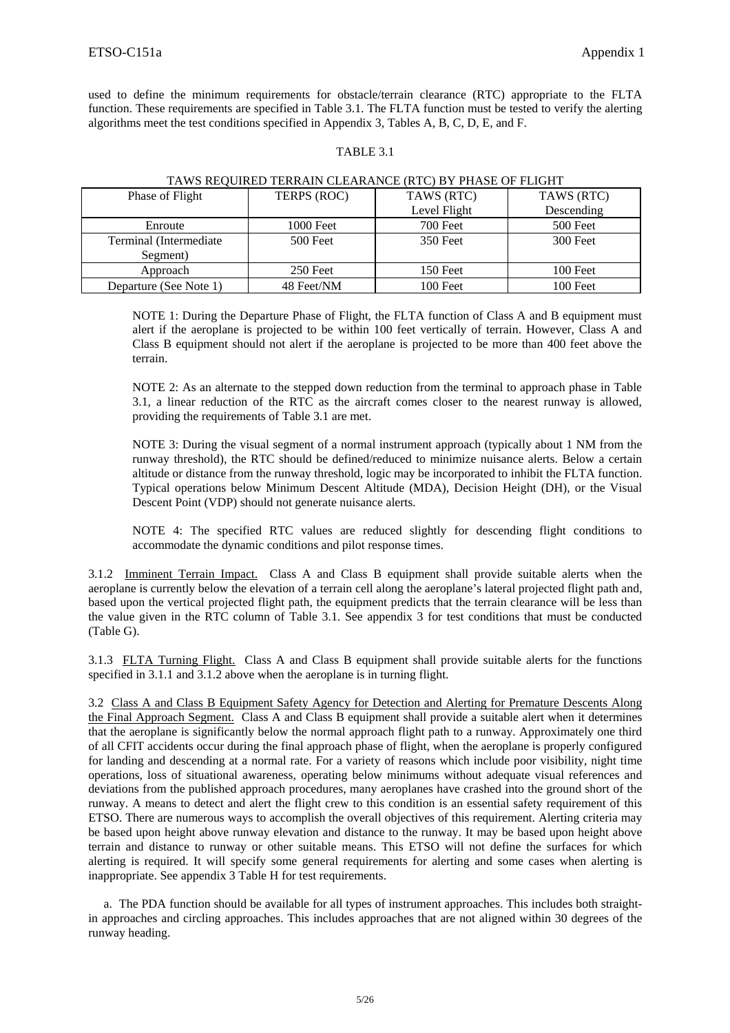used to define the minimum requirements for obstacle/terrain clearance (RTC) appropriate to the FLTA function. These requirements are specified in Table 3.1. The FLTA function must be tested to verify the alerting algorithms meet the test conditions specified in Appendix 3, Tables A, B, C, D, E, and F.

#### TABLE 3.1

| 111116 RBQ CHWB TBRRGHI ( CBBI HUN II (CB (RTC) B T THING OT TBROITI |             |              |            |  |
|----------------------------------------------------------------------|-------------|--------------|------------|--|
| Phase of Flight                                                      | TERPS (ROC) | TAWS (RTC)   | TAWS (RTC) |  |
|                                                                      |             | Level Flight | Descending |  |
| Enroute                                                              | 1000 Feet   | 700 Feet     | 500 Feet   |  |
| Terminal (Intermediate)                                              | 500 Feet    | 350 Feet     | 300 Feet   |  |
| Segment)                                                             |             |              |            |  |
| Approach                                                             | 250 Feet    | 150 Feet     | $100$ Feet |  |
| Departure (See Note 1)                                               | 48 Feet/NM  | 100 Feet     | 100 Feet   |  |

#### TAWS REQUIRED TERRAIN CLEARANCE (RTC) BY PHASE OF FLIGHT

NOTE 1: During the Departure Phase of Flight, the FLTA function of Class A and B equipment must alert if the aeroplane is projected to be within 100 feet vertically of terrain. However, Class A and Class B equipment should not alert if the aeroplane is projected to be more than 400 feet above the terrain.

NOTE 2: As an alternate to the stepped down reduction from the terminal to approach phase in Table 3.1, a linear reduction of the RTC as the aircraft comes closer to the nearest runway is allowed, providing the requirements of Table 3.1 are met.

NOTE 3: During the visual segment of a normal instrument approach (typically about 1 NM from the runway threshold), the RTC should be defined/reduced to minimize nuisance alerts. Below a certain altitude or distance from the runway threshold, logic may be incorporated to inhibit the FLTA function. Typical operations below Minimum Descent Altitude (MDA), Decision Height (DH), or the Visual Descent Point (VDP) should not generate nuisance alerts.

NOTE 4: The specified RTC values are reduced slightly for descending flight conditions to accommodate the dynamic conditions and pilot response times.

3.1.2 Imminent Terrain Impact. Class A and Class B equipment shall provide suitable alerts when the aeroplane is currently below the elevation of a terrain cell along the aeroplane's lateral projected flight path and, based upon the vertical projected flight path, the equipment predicts that the terrain clearance will be less than the value given in the RTC column of Table 3.1. See appendix 3 for test conditions that must be conducted (Table G).

3.1.3 FLTA Turning Flight. Class A and Class B equipment shall provide suitable alerts for the functions specified in 3.1.1 and 3.1.2 above when the aeroplane is in turning flight.

3.2 Class A and Class B Equipment Safety Agency for Detection and Alerting for Premature Descents Along the Final Approach Segment. Class A and Class B equipment shall provide a suitable alert when it determines that the aeroplane is significantly below the normal approach flight path to a runway. Approximately one third of all CFIT accidents occur during the final approach phase of flight, when the aeroplane is properly configured for landing and descending at a normal rate. For a variety of reasons which include poor visibility, night time operations, loss of situational awareness, operating below minimums without adequate visual references and deviations from the published approach procedures, many aeroplanes have crashed into the ground short of the runway. A means to detect and alert the flight crew to this condition is an essential safety requirement of this ETSO. There are numerous ways to accomplish the overall objectives of this requirement. Alerting criteria may be based upon height above runway elevation and distance to the runway. It may be based upon height above terrain and distance to runway or other suitable means. This ETSO will not define the surfaces for which alerting is required. It will specify some general requirements for alerting and some cases when alerting is inappropriate. See appendix 3 Table H for test requirements.

 a. The PDA function should be available for all types of instrument approaches. This includes both straightin approaches and circling approaches. This includes approaches that are not aligned within 30 degrees of the runway heading.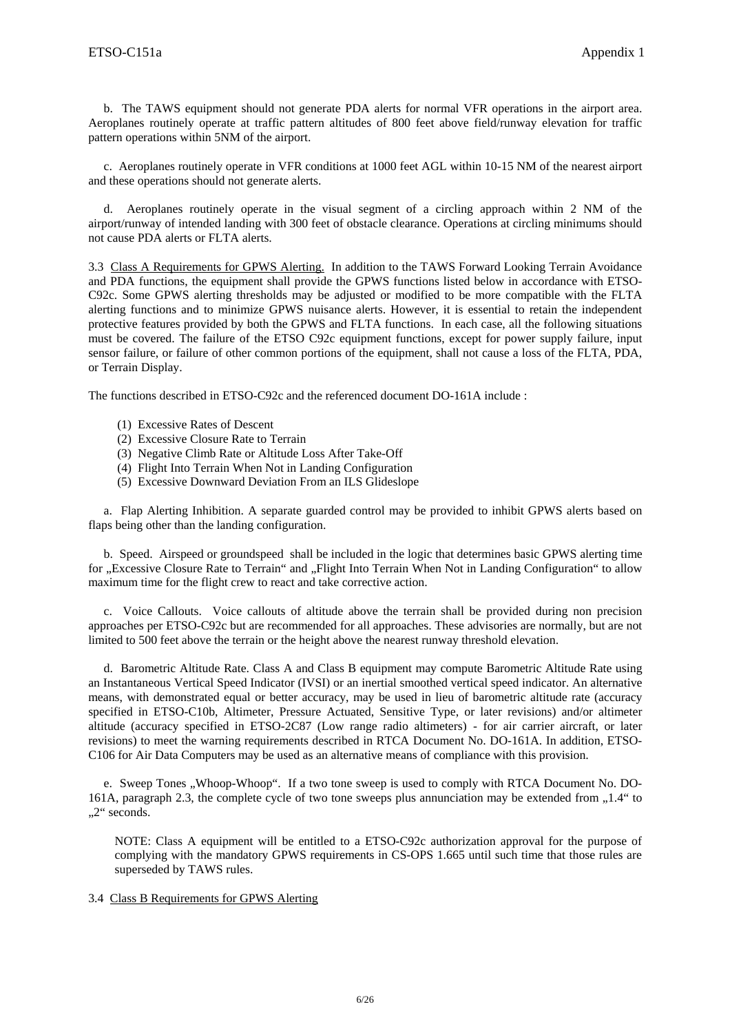b. The TAWS equipment should not generate PDA alerts for normal VFR operations in the airport area. Aeroplanes routinely operate at traffic pattern altitudes of 800 feet above field/runway elevation for traffic pattern operations within 5NM of the airport.

 c. Aeroplanes routinely operate in VFR conditions at 1000 feet AGL within 10-15 NM of the nearest airport and these operations should not generate alerts.

 d. Aeroplanes routinely operate in the visual segment of a circling approach within 2 NM of the airport/runway of intended landing with 300 feet of obstacle clearance. Operations at circling minimums should not cause PDA alerts or FLTA alerts.

3.3 Class A Requirements for GPWS Alerting. In addition to the TAWS Forward Looking Terrain Avoidance and PDA functions, the equipment shall provide the GPWS functions listed below in accordance with ETSO-C92c. Some GPWS alerting thresholds may be adjusted or modified to be more compatible with the FLTA alerting functions and to minimize GPWS nuisance alerts. However, it is essential to retain the independent protective features provided by both the GPWS and FLTA functions. In each case, all the following situations must be covered. The failure of the ETSO C92c equipment functions, except for power supply failure, input sensor failure, or failure of other common portions of the equipment, shall not cause a loss of the FLTA, PDA, or Terrain Display.

The functions described in ETSO-C92c and the referenced document DO-161A include :

- (1) Excessive Rates of Descent
- (2) Excessive Closure Rate to Terrain
- (3) Negative Climb Rate or Altitude Loss After Take-Off
- (4) Flight Into Terrain When Not in Landing Configuration
- (5) Excessive Downward Deviation From an ILS Glideslope

 a. Flap Alerting Inhibition. A separate guarded control may be provided to inhibit GPWS alerts based on flaps being other than the landing configuration.

 b. Speed. Airspeed or groundspeed shall be included in the logic that determines basic GPWS alerting time for "Excessive Closure Rate to Terrain" and "Flight Into Terrain When Not in Landing Configuration" to allow maximum time for the flight crew to react and take corrective action.

 c. Voice Callouts. Voice callouts of altitude above the terrain shall be provided during non precision approaches per ETSO-C92c but are recommended for all approaches. These advisories are normally, but are not limited to 500 feet above the terrain or the height above the nearest runway threshold elevation.

 d. Barometric Altitude Rate. Class A and Class B equipment may compute Barometric Altitude Rate using an Instantaneous Vertical Speed Indicator (IVSI) or an inertial smoothed vertical speed indicator. An alternative means, with demonstrated equal or better accuracy, may be used in lieu of barometric altitude rate (accuracy specified in ETSO-C10b, Altimeter, Pressure Actuated, Sensitive Type, or later revisions) and/or altimeter altitude (accuracy specified in ETSO-2C87 (Low range radio altimeters) - for air carrier aircraft, or later revisions) to meet the warning requirements described in RTCA Document No. DO-161A. In addition, ETSO-C106 for Air Data Computers may be used as an alternative means of compliance with this provision.

e. Sweep Tones "Whoop-Whoop". If a two tone sweep is used to comply with RTCA Document No. DO-161A, paragraph 2.3, the complete cycle of two tone sweeps plus annunciation may be extended from  $,1.4$ " to .,2" seconds.

NOTE: Class A equipment will be entitled to a ETSO-C92c authorization approval for the purpose of complying with the mandatory GPWS requirements in CS-OPS 1.665 until such time that those rules are superseded by TAWS rules.

#### 3.4 Class B Requirements for GPWS Alerting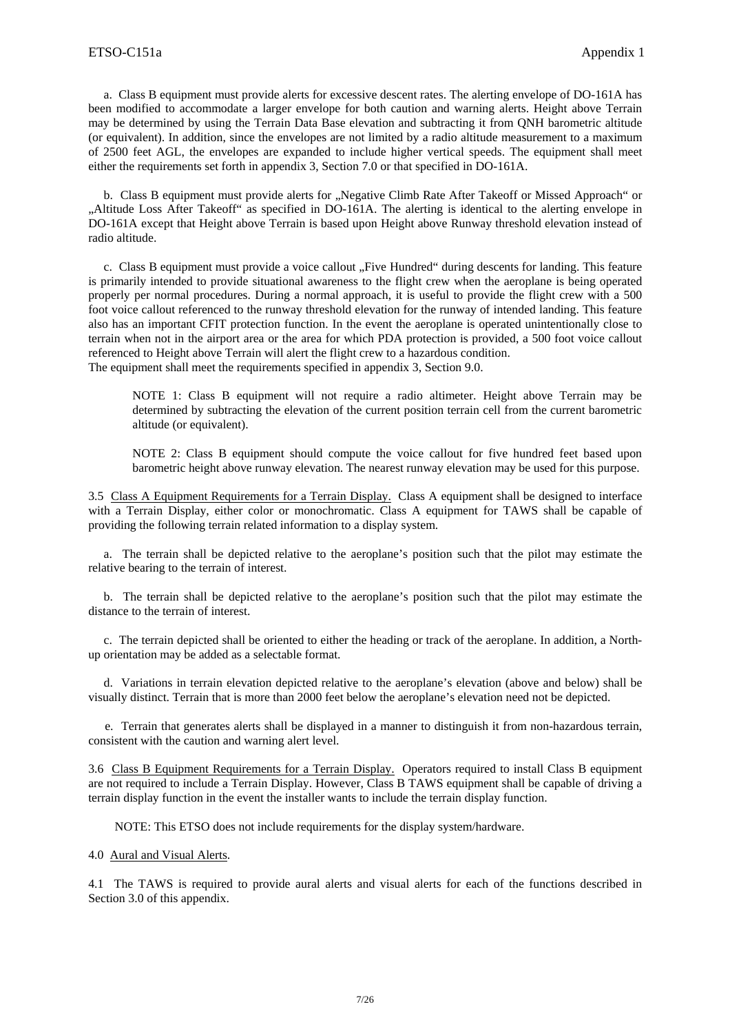a. Class B equipment must provide alerts for excessive descent rates. The alerting envelope of DO-161A has been modified to accommodate a larger envelope for both caution and warning alerts. Height above Terrain may be determined by using the Terrain Data Base elevation and subtracting it from QNH barometric altitude (or equivalent). In addition, since the envelopes are not limited by a radio altitude measurement to a maximum of 2500 feet AGL, the envelopes are expanded to include higher vertical speeds. The equipment shall meet either the requirements set forth in appendix 3, Section 7.0 or that specified in DO-161A.

b. Class B equipment must provide alerts for "Negative Climb Rate After Takeoff or Missed Approach" or "Altitude Loss After Takeoff" as specified in DO-161A. The alerting is identical to the alerting envelope in DO-161A except that Height above Terrain is based upon Height above Runway threshold elevation instead of radio altitude.

c. Class B equipment must provide a voice callout "Five Hundred" during descents for landing. This feature is primarily intended to provide situational awareness to the flight crew when the aeroplane is being operated properly per normal procedures. During a normal approach, it is useful to provide the flight crew with a 500 foot voice callout referenced to the runway threshold elevation for the runway of intended landing. This feature also has an important CFIT protection function. In the event the aeroplane is operated unintentionally close to terrain when not in the airport area or the area for which PDA protection is provided, a 500 foot voice callout referenced to Height above Terrain will alert the flight crew to a hazardous condition. The equipment shall meet the requirements specified in appendix 3, Section 9.0.

NOTE 1: Class B equipment will not require a radio altimeter. Height above Terrain may be determined by subtracting the elevation of the current position terrain cell from the current barometric altitude (or equivalent).

NOTE 2: Class B equipment should compute the voice callout for five hundred feet based upon barometric height above runway elevation. The nearest runway elevation may be used for this purpose.

3.5 Class A Equipment Requirements for a Terrain Display. Class A equipment shall be designed to interface with a Terrain Display, either color or monochromatic. Class A equipment for TAWS shall be capable of providing the following terrain related information to a display system.

 a. The terrain shall be depicted relative to the aeroplane's position such that the pilot may estimate the relative bearing to the terrain of interest.

 b. The terrain shall be depicted relative to the aeroplane's position such that the pilot may estimate the distance to the terrain of interest.

 c. The terrain depicted shall be oriented to either the heading or track of the aeroplane. In addition, a Northup orientation may be added as a selectable format.

 d. Variations in terrain elevation depicted relative to the aeroplane's elevation (above and below) shall be visually distinct. Terrain that is more than 2000 feet below the aeroplane's elevation need not be depicted.

 e. Terrain that generates alerts shall be displayed in a manner to distinguish it from non-hazardous terrain, consistent with the caution and warning alert level.

3.6 Class B Equipment Requirements for a Terrain Display. Operators required to install Class B equipment are not required to include a Terrain Display. However, Class B TAWS equipment shall be capable of driving a terrain display function in the event the installer wants to include the terrain display function.

NOTE: This ETSO does not include requirements for the display system/hardware.

4.0 Aural and Visual Alerts.

4.1 The TAWS is required to provide aural alerts and visual alerts for each of the functions described in Section 3.0 of this appendix.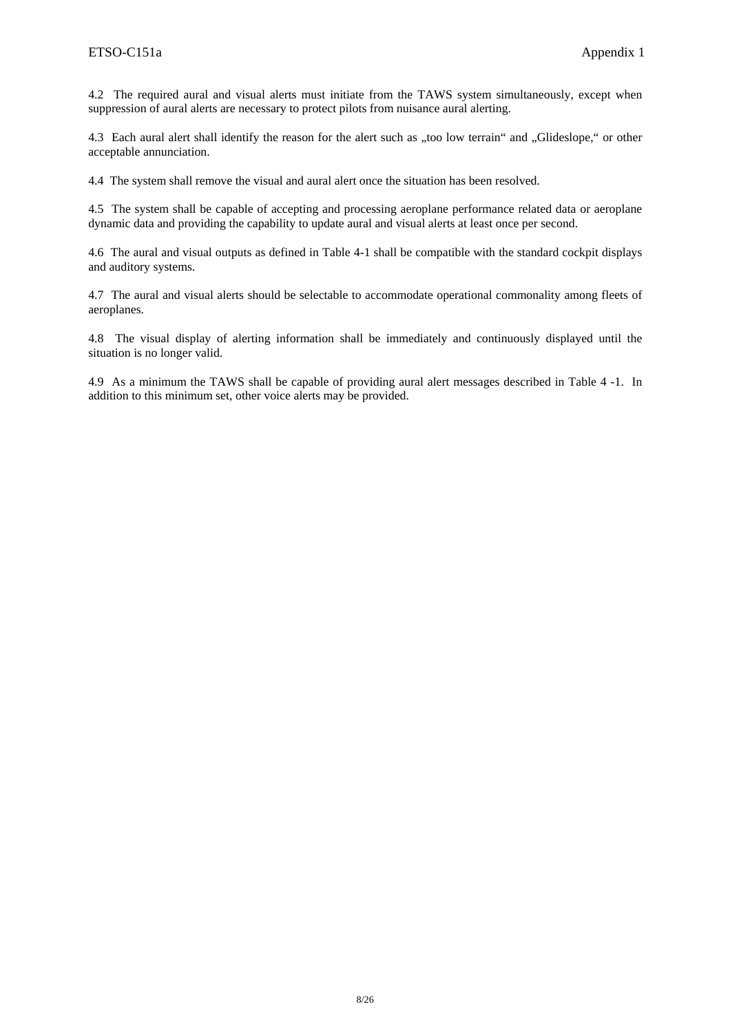4.2 The required aural and visual alerts must initiate from the TAWS system simultaneously, except when suppression of aural alerts are necessary to protect pilots from nuisance aural alerting.

4.3 Each aural alert shall identify the reason for the alert such as "too low terrain" and "Glideslope," or other acceptable annunciation.

4.4 The system shall remove the visual and aural alert once the situation has been resolved.

4.5 The system shall be capable of accepting and processing aeroplane performance related data or aeroplane dynamic data and providing the capability to update aural and visual alerts at least once per second.

4.6 The aural and visual outputs as defined in Table 4-1 shall be compatible with the standard cockpit displays and auditory systems.

4.7 The aural and visual alerts should be selectable to accommodate operational commonality among fleets of aeroplanes.

4.8 The visual display of alerting information shall be immediately and continuously displayed until the situation is no longer valid.

4.9 As a minimum the TAWS shall be capable of providing aural alert messages described in Table 4 -1. In addition to this minimum set, other voice alerts may be provided.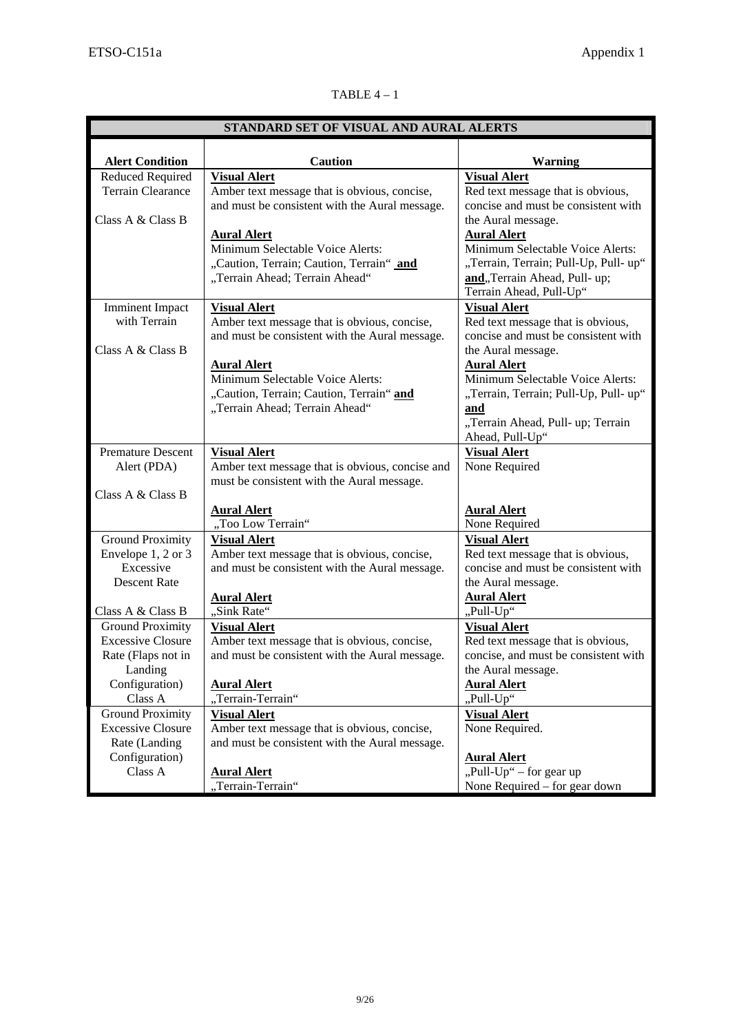# TABLE  $4-1$

| STANDARD SET OF VISUAL AND AURAL ALERTS             |                                                                                                                                      |                                                                                                                                                            |  |  |  |
|-----------------------------------------------------|--------------------------------------------------------------------------------------------------------------------------------------|------------------------------------------------------------------------------------------------------------------------------------------------------------|--|--|--|
|                                                     |                                                                                                                                      |                                                                                                                                                            |  |  |  |
| <b>Alert Condition</b>                              | <b>Caution</b>                                                                                                                       | <b>Warning</b>                                                                                                                                             |  |  |  |
| Reduced Required<br><b>Terrain Clearance</b>        | <b>Visual Alert</b><br>Amber text message that is obvious, concise,<br>and must be consistent with the Aural message.                | <b>Visual Alert</b><br>Red text message that is obvious,<br>concise and must be consistent with                                                            |  |  |  |
| Class A & Class B                                   |                                                                                                                                      | the Aural message.                                                                                                                                         |  |  |  |
|                                                     | <b>Aural Alert</b><br>Minimum Selectable Voice Alerts:<br>"Caution, Terrain; Caution, Terrain" and<br>"Terrain Ahead; Terrain Ahead" | <b>Aural Alert</b><br>Minimum Selectable Voice Alerts:<br>"Terrain, Terrain; Pull-Up, Pull-up"<br>and, Terrain Ahead, Pull- up;<br>Terrain Ahead, Pull-Up" |  |  |  |
| <b>Imminent Impact</b>                              | <b>Visual Alert</b>                                                                                                                  | <b>Visual Alert</b>                                                                                                                                        |  |  |  |
| with Terrain                                        | Amber text message that is obvious, concise,                                                                                         | Red text message that is obvious,                                                                                                                          |  |  |  |
|                                                     | and must be consistent with the Aural message.                                                                                       | concise and must be consistent with                                                                                                                        |  |  |  |
| Class A & Class B                                   |                                                                                                                                      | the Aural message.                                                                                                                                         |  |  |  |
|                                                     | <b>Aural Alert</b><br>Minimum Selectable Voice Alerts:                                                                               | <b>Aural Alert</b><br>Minimum Selectable Voice Alerts:                                                                                                     |  |  |  |
|                                                     | "Caution, Terrain; Caution, Terrain" and                                                                                             | "Terrain, Terrain; Pull-Up, Pull-up"                                                                                                                       |  |  |  |
|                                                     | "Terrain Ahead; Terrain Ahead"                                                                                                       | and                                                                                                                                                        |  |  |  |
|                                                     |                                                                                                                                      | "Terrain Ahead, Pull- up; Terrain                                                                                                                          |  |  |  |
|                                                     |                                                                                                                                      | Ahead, Pull-Up"                                                                                                                                            |  |  |  |
| <b>Premature Descent</b>                            | <b>Visual Alert</b>                                                                                                                  | <b>Visual Alert</b>                                                                                                                                        |  |  |  |
| Alert (PDA)                                         | Amber text message that is obvious, concise and                                                                                      | None Required                                                                                                                                              |  |  |  |
|                                                     | must be consistent with the Aural message.                                                                                           |                                                                                                                                                            |  |  |  |
| Class A & Class B                                   |                                                                                                                                      |                                                                                                                                                            |  |  |  |
|                                                     | <b>Aural Alert</b>                                                                                                                   | <b>Aural Alert</b>                                                                                                                                         |  |  |  |
|                                                     | "Too Low Terrain"                                                                                                                    | None Required                                                                                                                                              |  |  |  |
| <b>Ground Proximity</b>                             | <b>Visual Alert</b>                                                                                                                  | <b>Visual Alert</b>                                                                                                                                        |  |  |  |
| Envelope 1, 2 or 3                                  | Amber text message that is obvious, concise,                                                                                         | Red text message that is obvious,                                                                                                                          |  |  |  |
| Excessive                                           | and must be consistent with the Aural message.                                                                                       | concise and must be consistent with                                                                                                                        |  |  |  |
| <b>Descent Rate</b>                                 |                                                                                                                                      | the Aural message.                                                                                                                                         |  |  |  |
|                                                     | <b>Aural Alert</b>                                                                                                                   | <b>Aural Alert</b>                                                                                                                                         |  |  |  |
| Class A & Class B                                   | "Sink Rate"                                                                                                                          | "Pull-Up"                                                                                                                                                  |  |  |  |
| <b>Ground Proximity</b>                             | <b>Visual Alert</b>                                                                                                                  | <b>Visual Alert</b>                                                                                                                                        |  |  |  |
| <b>Excessive Closure</b>                            | Amber text message that is obvious, concise,                                                                                         | Red text message that is obvious,                                                                                                                          |  |  |  |
| Rate (Flaps not in                                  | and must be consistent with the Aural message.                                                                                       | concise, and must be consistent with                                                                                                                       |  |  |  |
| Landing                                             |                                                                                                                                      | the Aural message.                                                                                                                                         |  |  |  |
| Configuration)<br>Class A                           | <b>Aural Alert</b><br>"Terrain-Terrain"                                                                                              | <b>Aural Alert</b><br>"Pull-Up"                                                                                                                            |  |  |  |
|                                                     |                                                                                                                                      |                                                                                                                                                            |  |  |  |
| <b>Ground Proximity</b><br><b>Excessive Closure</b> | <b>Visual Alert</b><br>Amber text message that is obvious, concise,                                                                  | <b>Visual Alert</b><br>None Required.                                                                                                                      |  |  |  |
| Rate (Landing                                       | and must be consistent with the Aural message.                                                                                       |                                                                                                                                                            |  |  |  |
| Configuration)                                      |                                                                                                                                      | <b>Aural Alert</b>                                                                                                                                         |  |  |  |
| Class A                                             | <b>Aural Alert</b>                                                                                                                   | "Pull-Up" – for gear up                                                                                                                                    |  |  |  |
|                                                     | "Terrain-Terrain"                                                                                                                    | None Required – for gear down                                                                                                                              |  |  |  |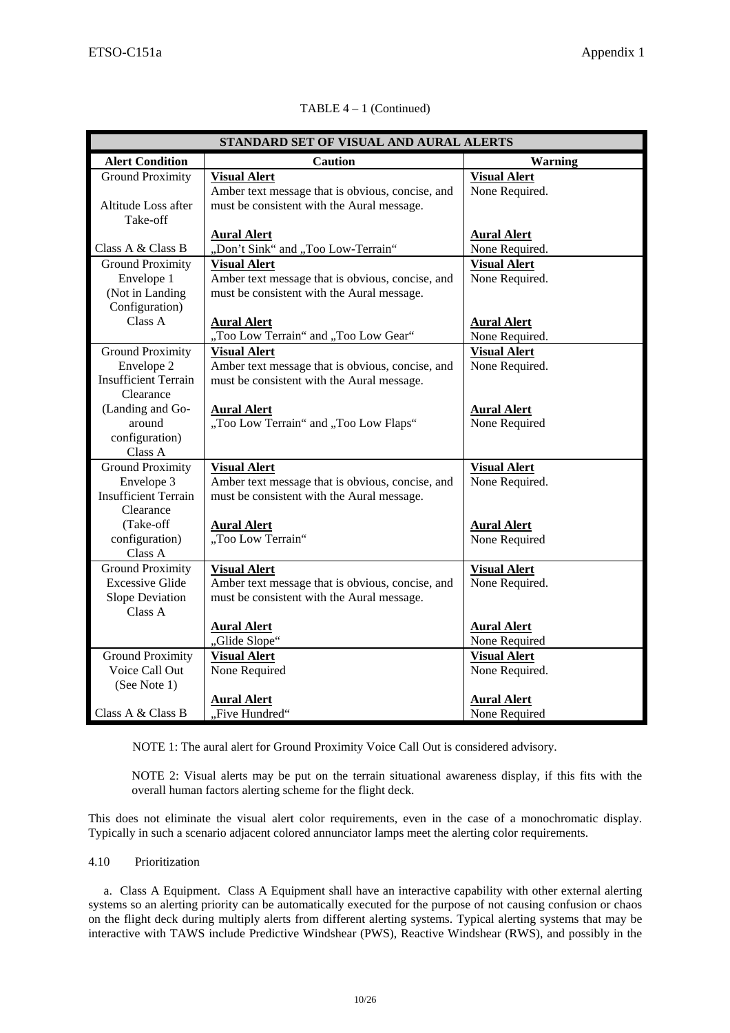| STANDARD SET OF VISUAL AND AURAL ALERTS |                                                  |                     |  |  |
|-----------------------------------------|--------------------------------------------------|---------------------|--|--|
| <b>Alert Condition</b>                  | <b>Caution</b>                                   | <b>Warning</b>      |  |  |
| <b>Ground Proximity</b>                 | <b>Visual Alert</b>                              | <b>Visual Alert</b> |  |  |
|                                         | Amber text message that is obvious, concise, and | None Required.      |  |  |
| Altitude Loss after                     | must be consistent with the Aural message.       |                     |  |  |
| Take-off                                |                                                  |                     |  |  |
|                                         | <b>Aural Alert</b>                               | <b>Aural Alert</b>  |  |  |
| Class A & Class B                       | "Don't Sink" and "Too Low-Terrain"               | None Required.      |  |  |
| <b>Ground Proximity</b>                 | <b>Visual Alert</b>                              | <b>Visual Alert</b> |  |  |
| Envelope 1                              | Amber text message that is obvious, concise, and | None Required.      |  |  |
| (Not in Landing                         | must be consistent with the Aural message.       |                     |  |  |
| Configuration)                          |                                                  |                     |  |  |
| Class A                                 | <b>Aural Alert</b>                               | <b>Aural Alert</b>  |  |  |
|                                         | "Too Low Terrain" and "Too Low Gear"             | None Required.      |  |  |
| <b>Ground Proximity</b>                 | <b>Visual Alert</b>                              | <b>Visual Alert</b> |  |  |
| Envelope 2                              | Amber text message that is obvious, concise, and | None Required.      |  |  |
| <b>Insufficient Terrain</b>             | must be consistent with the Aural message.       |                     |  |  |
| Clearance                               |                                                  |                     |  |  |
| (Landing and Go-                        | <b>Aural Alert</b>                               | <b>Aural Alert</b>  |  |  |
| around                                  | "Too Low Terrain" and "Too Low Flaps"            | None Required       |  |  |
| configuration)                          |                                                  |                     |  |  |
| Class A                                 |                                                  |                     |  |  |
| <b>Ground Proximity</b>                 | <b>Visual Alert</b>                              | <b>Visual Alert</b> |  |  |
| Envelope 3                              | Amber text message that is obvious, concise, and | None Required.      |  |  |
| <b>Insufficient Terrain</b>             | must be consistent with the Aural message.       |                     |  |  |
| Clearance                               |                                                  |                     |  |  |
| (Take-off                               | <b>Aural Alert</b>                               | <b>Aural Alert</b>  |  |  |
| configuration)                          | "Too Low Terrain"                                | None Required       |  |  |
| Class A                                 |                                                  |                     |  |  |
| <b>Ground Proximity</b>                 | <b>Visual Alert</b>                              | <b>Visual Alert</b> |  |  |
| <b>Excessive Glide</b>                  | Amber text message that is obvious, concise, and | None Required.      |  |  |
| Slope Deviation                         | must be consistent with the Aural message.       |                     |  |  |
| Class A                                 |                                                  |                     |  |  |
|                                         | <b>Aural Alert</b>                               | <b>Aural Alert</b>  |  |  |
|                                         | "Glide Slope"                                    | None Required       |  |  |
| <b>Ground Proximity</b>                 | <b>Visual Alert</b>                              | <b>Visual Alert</b> |  |  |
| Voice Call Out                          | None Required                                    | None Required.      |  |  |
| (See Note 1)                            |                                                  |                     |  |  |
|                                         | <b>Aural Alert</b>                               | <b>Aural Alert</b>  |  |  |
| Class A & Class B                       | "Five Hundred"                                   | None Required       |  |  |

# TABLE 4 – 1 (Continued)

NOTE 1: The aural alert for Ground Proximity Voice Call Out is considered advisory.

NOTE 2: Visual alerts may be put on the terrain situational awareness display, if this fits with the overall human factors alerting scheme for the flight deck.

This does not eliminate the visual alert color requirements, even in the case of a monochromatic display. Typically in such a scenario adjacent colored annunciator lamps meet the alerting color requirements.

## 4.10 Prioritization

 a. Class A Equipment.Class A Equipment shall have an interactive capability with other external alerting systems so an alerting priority can be automatically executed for the purpose of not causing confusion or chaos on the flight deck during multiply alerts from different alerting systems. Typical alerting systems that may be interactive with TAWS include Predictive Windshear (PWS), Reactive Windshear (RWS), and possibly in the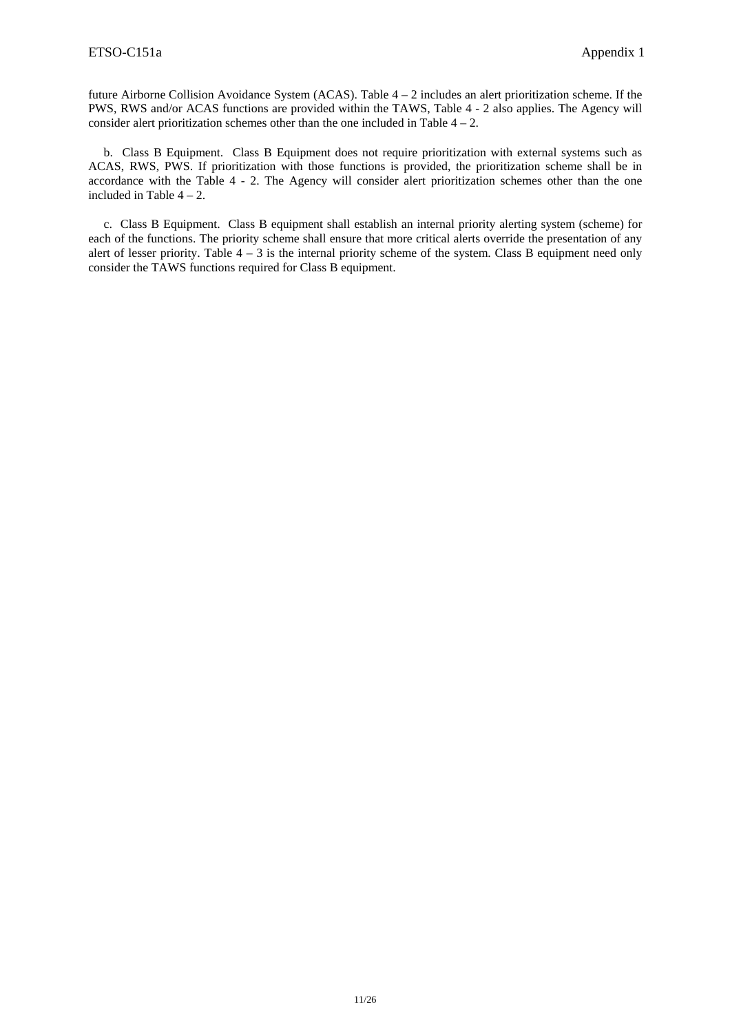future Airborne Collision Avoidance System (ACAS). Table 4 – 2 includes an alert prioritization scheme. If the PWS, RWS and/or ACAS functions are provided within the TAWS, Table 4 - 2 also applies. The Agency will consider alert prioritization schemes other than the one included in Table  $4 - 2$ .

 b. Class B Equipment. Class B Equipment does not require prioritization with external systems such as ACAS, RWS, PWS. If prioritization with those functions is provided, the prioritization scheme shall be in accordance with the Table 4 - 2. The Agency will consider alert prioritization schemes other than the one included in Table  $4 - 2$ .

 c. Class B Equipment. Class B equipment shall establish an internal priority alerting system (scheme) for each of the functions. The priority scheme shall ensure that more critical alerts override the presentation of any alert of lesser priority. Table 4 – 3 is the internal priority scheme of the system. Class B equipment need only consider the TAWS functions required for Class B equipment.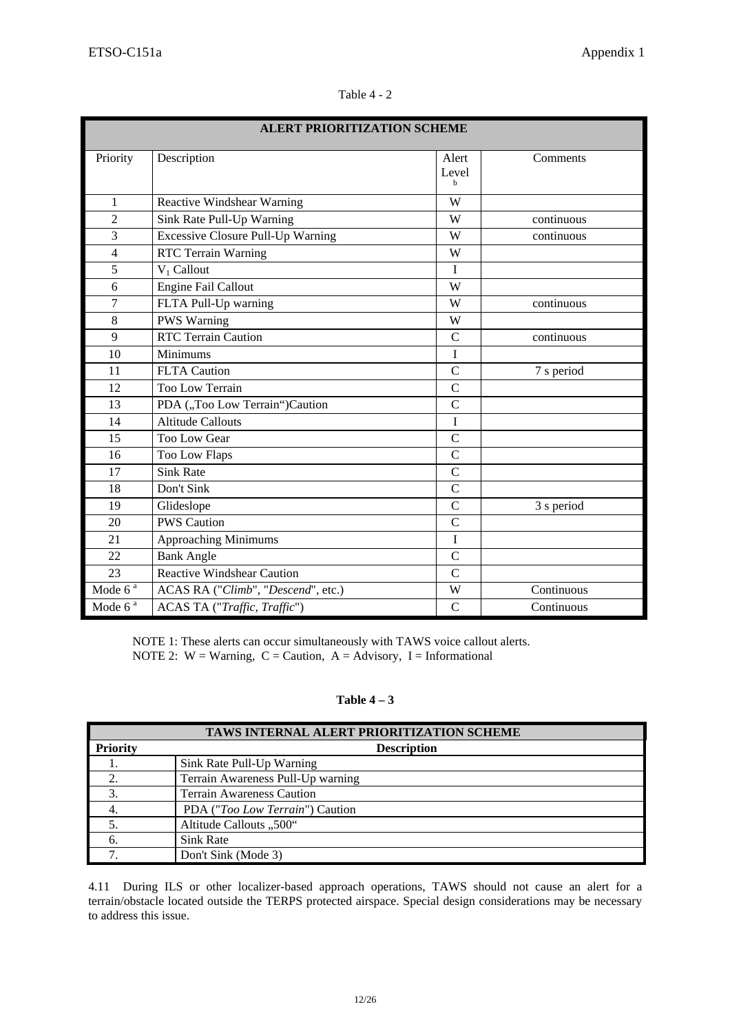| l'able |
|--------|
|--------|

| <b>ALERT PRIORITIZATION SCHEME</b> |                                          |                     |            |  |
|------------------------------------|------------------------------------------|---------------------|------------|--|
| Priority                           | Description                              | Alert<br>Level<br>h | Comments   |  |
| $\mathbf{1}$                       | Reactive Windshear Warning               | W                   |            |  |
| $\overline{2}$                     | Sink Rate Pull-Up Warning                | W                   | continuous |  |
| 3                                  | <b>Excessive Closure Pull-Up Warning</b> | W                   | continuous |  |
| $\overline{4}$                     | RTC Terrain Warning                      | W                   |            |  |
| 5                                  | $V_1$ Callout                            | $\mathbf I$         |            |  |
| 6                                  | <b>Engine Fail Callout</b>               | W                   |            |  |
| $\overline{7}$                     | FLTA Pull-Up warning                     | W                   | continuous |  |
| 8                                  | <b>PWS Warning</b>                       | W                   |            |  |
| 9                                  | <b>RTC Terrain Caution</b>               | $\overline{C}$      | continuous |  |
| 10                                 | $\overline{\text{Minimums}}$             | $\bf I$             |            |  |
| 11                                 | <b>FLTA</b> Caution                      | $\overline{C}$      | 7 s period |  |
| 12                                 | Too Low Terrain                          | $\mathcal{C}$       |            |  |
| 13                                 | PDA ("Too Low Terrain")Caution           | $\overline{C}$      |            |  |
| 14                                 | <b>Altitude Callouts</b>                 | $\bf I$             |            |  |
| 15                                 | Too Low Gear                             | $\mathcal{C}$       |            |  |
| 16                                 | Too Low Flaps                            | $\mathcal{C}$       |            |  |
| 17                                 | <b>Sink Rate</b>                         | $\mathcal{C}$       |            |  |
| 18                                 | Don't Sink                               | $\mathcal{C}$       |            |  |
| 19                                 | Glideslope                               | $\overline{C}$      | 3 s period |  |
| 20                                 | <b>PWS Caution</b>                       | $\mathcal{C}$       |            |  |
| 21                                 | Approaching Minimums                     | I                   |            |  |
| 22                                 | <b>Bank Angle</b>                        | $\mathcal{C}$       |            |  |
| 23                                 | <b>Reactive Windshear Caution</b>        | $\overline{C}$      |            |  |
| Mode $6^a$                         | ACAS RA ("Climb", "Descend", etc.)       | W                   | Continuous |  |
| Mode $6a$                          | ACAS TA ("Traffic, Traffic")             | $\mathcal{C}$       | Continuous |  |

NOTE 1: These alerts can occur simultaneously with TAWS voice callout alerts. NOTE 2:  $W =$  Warning,  $C =$  Caution,  $A =$  Advisory, I = Informational

## **Table 4 – 3**

| <b>TAWS INTERNAL ALERT PRIORITIZATION SCHEME</b> |                                          |  |
|--------------------------------------------------|------------------------------------------|--|
| <b>Priority</b>                                  | <b>Description</b>                       |  |
|                                                  | Sink Rate Pull-Up Warning                |  |
| 2.                                               | Terrain Awareness Pull-Up warning        |  |
| 3.                                               | <b>Terrain Awareness Caution</b>         |  |
|                                                  | PDA (" <i>Too Low Terrain</i> ") Caution |  |
|                                                  | Altitude Callouts "500"                  |  |
| 6.                                               | Sink Rate                                |  |
|                                                  | Don't Sink (Mode 3)                      |  |

4.11 During ILS or other localizer-based approach operations, TAWS should not cause an alert for a terrain/obstacle located outside the TERPS protected airspace. Special design considerations may be necessary to address this issue.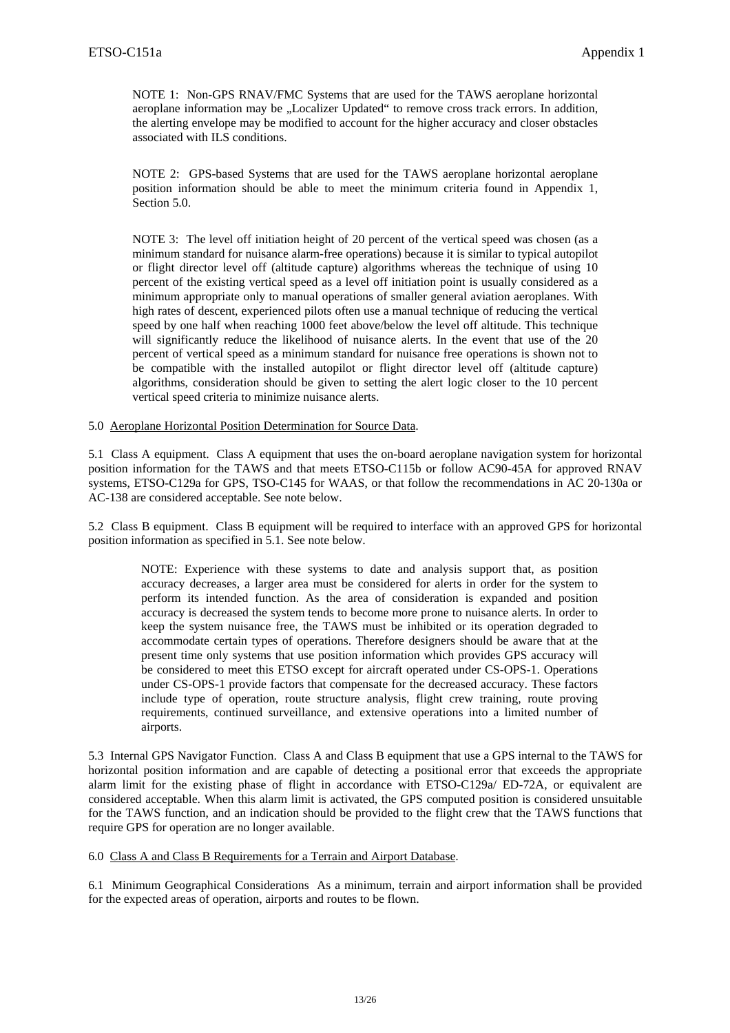NOTE 1: Non-GPS RNAV/FMC Systems that are used for the TAWS aeroplane horizontal aeroplane information may be "Localizer Updated" to remove cross track errors. In addition, the alerting envelope may be modified to account for the higher accuracy and closer obstacles associated with ILS conditions.

NOTE 2: GPS-based Systems that are used for the TAWS aeroplane horizontal aeroplane position information should be able to meet the minimum criteria found in Appendix 1, Section 5.0.

NOTE 3: The level off initiation height of 20 percent of the vertical speed was chosen (as a minimum standard for nuisance alarm-free operations) because it is similar to typical autopilot or flight director level off (altitude capture) algorithms whereas the technique of using 10 percent of the existing vertical speed as a level off initiation point is usually considered as a minimum appropriate only to manual operations of smaller general aviation aeroplanes. With high rates of descent, experienced pilots often use a manual technique of reducing the vertical speed by one half when reaching 1000 feet above/below the level off altitude. This technique will significantly reduce the likelihood of nuisance alerts. In the event that use of the 20 percent of vertical speed as a minimum standard for nuisance free operations is shown not to be compatible with the installed autopilot or flight director level off (altitude capture) algorithms, consideration should be given to setting the alert logic closer to the 10 percent vertical speed criteria to minimize nuisance alerts.

#### 5.0 Aeroplane Horizontal Position Determination for Source Data.

5.1 Class A equipment. Class A equipment that uses the on-board aeroplane navigation system for horizontal position information for the TAWS and that meets ETSO-C115b or follow AC90-45A for approved RNAV systems, ETSO-C129a for GPS, TSO-C145 for WAAS, or that follow the recommendations in AC 20-130a or AC-138 are considered acceptable. See note below.

5.2 Class B equipment. Class B equipment will be required to interface with an approved GPS for horizontal position information as specified in 5.1. See note below.

NOTE: Experience with these systems to date and analysis support that, as position accuracy decreases, a larger area must be considered for alerts in order for the system to perform its intended function. As the area of consideration is expanded and position accuracy is decreased the system tends to become more prone to nuisance alerts. In order to keep the system nuisance free, the TAWS must be inhibited or its operation degraded to accommodate certain types of operations. Therefore designers should be aware that at the present time only systems that use position information which provides GPS accuracy will be considered to meet this ETSO except for aircraft operated under CS-OPS-1. Operations under CS-OPS-1 provide factors that compensate for the decreased accuracy. These factors include type of operation, route structure analysis, flight crew training, route proving requirements, continued surveillance, and extensive operations into a limited number of airports.

5.3 Internal GPS Navigator Function. Class A and Class B equipment that use a GPS internal to the TAWS for horizontal position information and are capable of detecting a positional error that exceeds the appropriate alarm limit for the existing phase of flight in accordance with ETSO-C129a/ ED-72A, or equivalent are considered acceptable. When this alarm limit is activated, the GPS computed position is considered unsuitable for the TAWS function, and an indication should be provided to the flight crew that the TAWS functions that require GPS for operation are no longer available.

6.0 Class A and Class B Requirements for a Terrain and Airport Database.

6.1 Minimum Geographical Considerations As a minimum, terrain and airport information shall be provided for the expected areas of operation, airports and routes to be flown.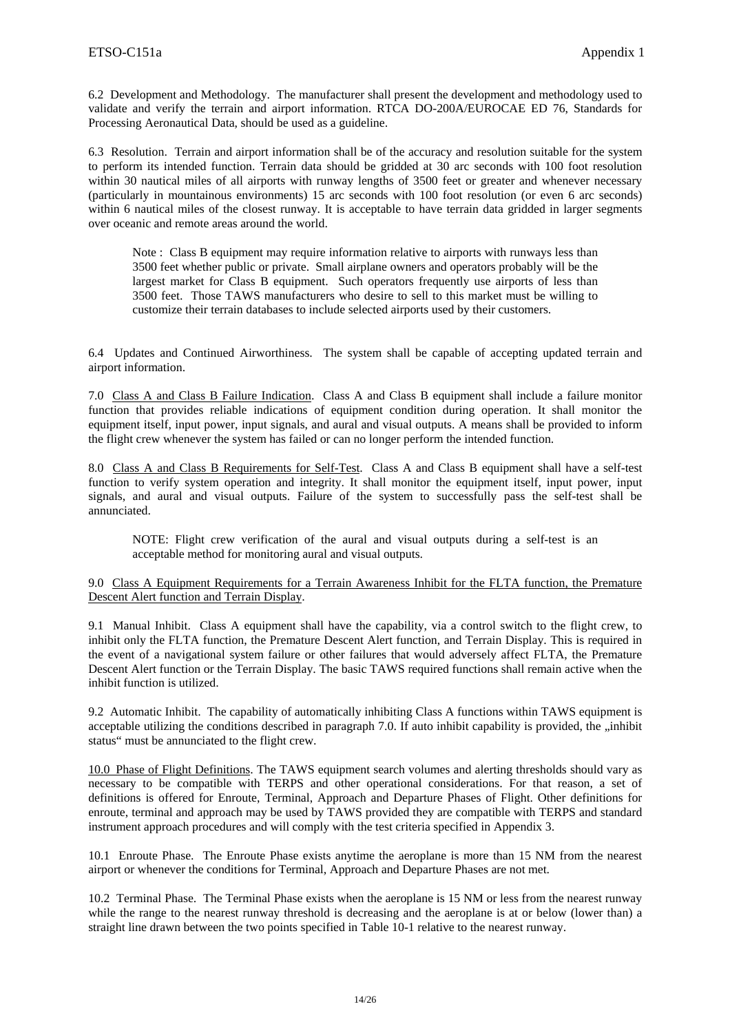6.2 Development and Methodology. The manufacturer shall present the development and methodology used to validate and verify the terrain and airport information. RTCA DO-200A/EUROCAE ED 76, Standards for Processing Aeronautical Data, should be used as a guideline.

6.3 Resolution. Terrain and airport information shall be of the accuracy and resolution suitable for the system to perform its intended function. Terrain data should be gridded at 30 arc seconds with 100 foot resolution within 30 nautical miles of all airports with runway lengths of 3500 feet or greater and whenever necessary (particularly in mountainous environments) 15 arc seconds with 100 foot resolution (or even 6 arc seconds) within 6 nautical miles of the closest runway. It is acceptable to have terrain data gridded in larger segments over oceanic and remote areas around the world.

Note : Class B equipment may require information relative to airports with runways less than 3500 feet whether public or private. Small airplane owners and operators probably will be the largest market for Class B equipment. Such operators frequently use airports of less than 3500 feet. Those TAWS manufacturers who desire to sell to this market must be willing to customize their terrain databases to include selected airports used by their customers.

6.4 Updates and Continued Airworthiness. The system shall be capable of accepting updated terrain and airport information.

7.0 Class A and Class B Failure Indication. Class A and Class B equipment shall include a failure monitor function that provides reliable indications of equipment condition during operation. It shall monitor the equipment itself, input power, input signals, and aural and visual outputs. A means shall be provided to inform the flight crew whenever the system has failed or can no longer perform the intended function.

8.0 Class A and Class B Requirements for Self-Test. Class A and Class B equipment shall have a self-test function to verify system operation and integrity. It shall monitor the equipment itself, input power, input signals, and aural and visual outputs. Failure of the system to successfully pass the self-test shall be annunciated.

NOTE: Flight crew verification of the aural and visual outputs during a self-test is an acceptable method for monitoring aural and visual outputs.

#### 9.0 Class A Equipment Requirements for a Terrain Awareness Inhibit for the FLTA function, the Premature Descent Alert function and Terrain Display.

9.1 Manual Inhibit. Class A equipment shall have the capability, via a control switch to the flight crew, to inhibit only the FLTA function, the Premature Descent Alert function, and Terrain Display. This is required in the event of a navigational system failure or other failures that would adversely affect FLTA, the Premature Descent Alert function or the Terrain Display. The basic TAWS required functions shall remain active when the inhibit function is utilized.

9.2 Automatic Inhibit. The capability of automatically inhibiting Class A functions within TAWS equipment is acceptable utilizing the conditions described in paragraph 7.0. If auto inhibit capability is provided, the  $\mu$  inhibit status" must be annunciated to the flight crew.

10.0 Phase of Flight Definitions. The TAWS equipment search volumes and alerting thresholds should vary as necessary to be compatible with TERPS and other operational considerations. For that reason, a set of definitions is offered for Enroute, Terminal, Approach and Departure Phases of Flight. Other definitions for enroute, terminal and approach may be used by TAWS provided they are compatible with TERPS and standard instrument approach procedures and will comply with the test criteria specified in Appendix 3.

10.1 Enroute Phase. The Enroute Phase exists anytime the aeroplane is more than 15 NM from the nearest airport or whenever the conditions for Terminal, Approach and Departure Phases are not met.

10.2 Terminal Phase. The Terminal Phase exists when the aeroplane is 15 NM or less from the nearest runway while the range to the nearest runway threshold is decreasing and the aeroplane is at or below (lower than) a straight line drawn between the two points specified in Table 10-1 relative to the nearest runway.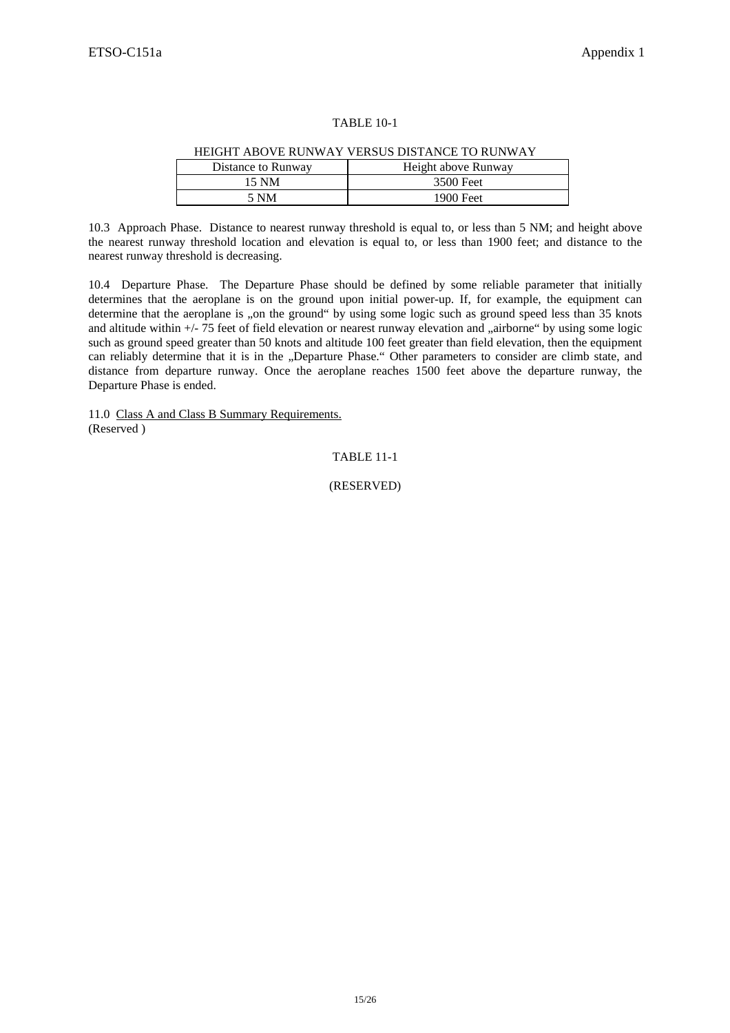#### TABLE 10-1

|                    | HERIH ADO VE KON WAT VERSOS DISTANCE TO KON WAT |
|--------------------|-------------------------------------------------|
| Distance to Runway | Height above Runway                             |
| 15 NM              | 3500 Feet                                       |
| 5 NM               | 1900 Feet                                       |
|                    |                                                 |

#### HEIGHT ABOVE RUNWAY VERSUS DISTANCE TO RUNWAY

10.3 Approach Phase. Distance to nearest runway threshold is equal to, or less than 5 NM; and height above the nearest runway threshold location and elevation is equal to, or less than 1900 feet; and distance to the nearest runway threshold is decreasing.

10.4 Departure Phase. The Departure Phase should be defined by some reliable parameter that initially determines that the aeroplane is on the ground upon initial power-up. If, for example, the equipment can determine that the aeroplane is "on the ground" by using some logic such as ground speed less than 35 knots and altitude within +/- 75 feet of field elevation or nearest runway elevation and "airborne" by using some logic such as ground speed greater than 50 knots and altitude 100 feet greater than field elevation, then the equipment can reliably determine that it is in the "Departure Phase." Other parameters to consider are climb state, and distance from departure runway. Once the aeroplane reaches 1500 feet above the departure runway, the Departure Phase is ended.

11.0 Class A and Class B Summary Requirements. (Reserved )

TABLE 11-1

(RESERVED)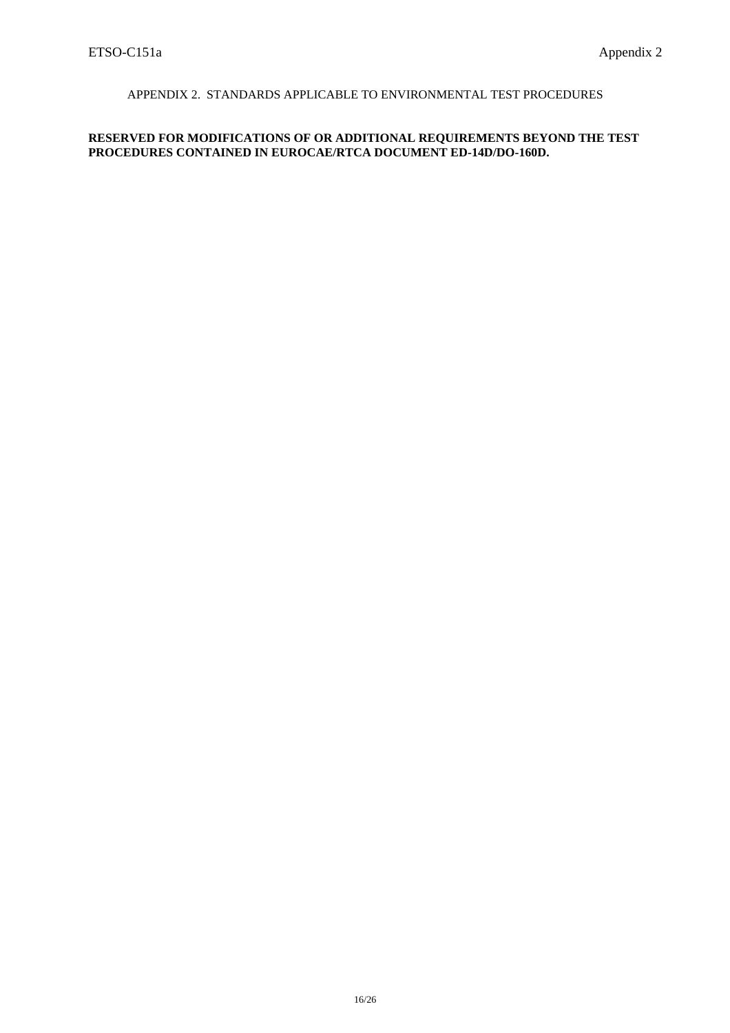# APPENDIX 2. STANDARDS APPLICABLE TO ENVIRONMENTAL TEST PROCEDURES

### **RESERVED FOR MODIFICATIONS OF OR ADDITIONAL REQUIREMENTS BEYOND THE TEST PROCEDURES CONTAINED IN EUROCAE/RTCA DOCUMENT ED-14D/DO-160D.**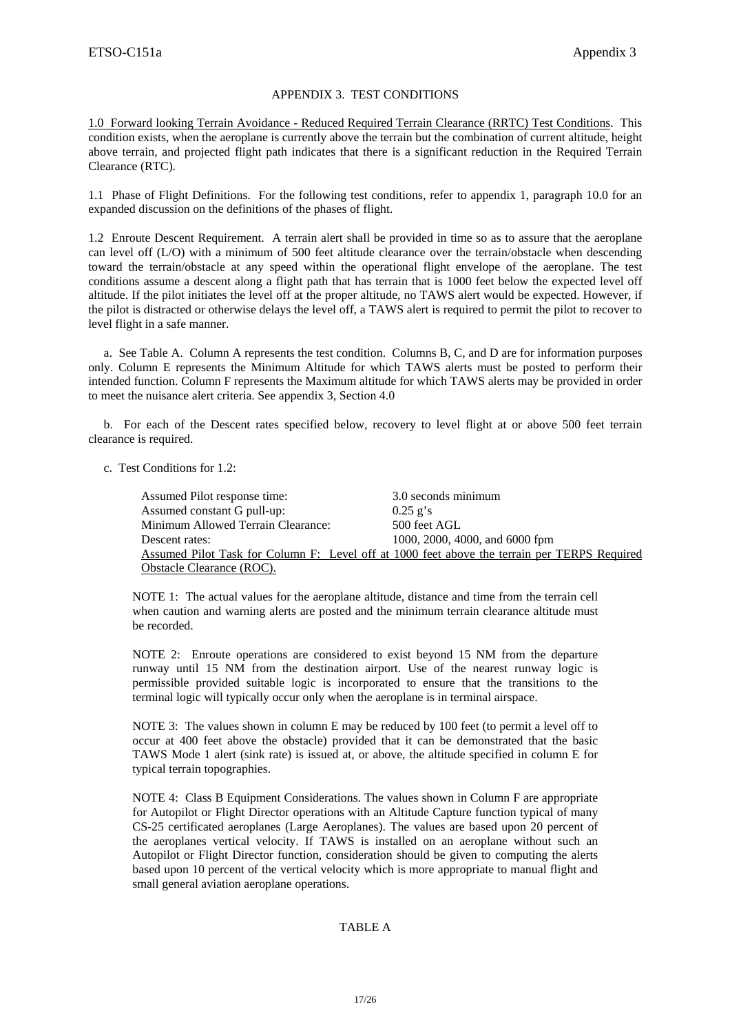#### APPENDIX 3. TEST CONDITIONS

1.0 Forward looking Terrain Avoidance - Reduced Required Terrain Clearance (RRTC) Test Conditions. This condition exists, when the aeroplane is currently above the terrain but the combination of current altitude, height above terrain, and projected flight path indicates that there is a significant reduction in the Required Terrain Clearance (RTC).

1.1 Phase of Flight Definitions. For the following test conditions, refer to appendix 1, paragraph 10.0 for an expanded discussion on the definitions of the phases of flight.

1.2 Enroute Descent Requirement. A terrain alert shall be provided in time so as to assure that the aeroplane can level off (L/O) with a minimum of 500 feet altitude clearance over the terrain/obstacle when descending toward the terrain/obstacle at any speed within the operational flight envelope of the aeroplane. The test conditions assume a descent along a flight path that has terrain that is 1000 feet below the expected level off altitude. If the pilot initiates the level off at the proper altitude, no TAWS alert would be expected. However, if the pilot is distracted or otherwise delays the level off, a TAWS alert is required to permit the pilot to recover to level flight in a safe manner.

 a. See Table A. Column A represents the test condition. Columns B, C, and D are for information purposes only. Column E represents the Minimum Altitude for which TAWS alerts must be posted to perform their intended function. Column F represents the Maximum altitude for which TAWS alerts may be provided in order to meet the nuisance alert criteria. See appendix 3, Section 4.0

 b. For each of the Descent rates specified below, recovery to level flight at or above 500 feet terrain clearance is required.

c.Test Conditions for 1.2:

| Assumed Pilot response time:       | 3.0 seconds minimum                                                                          |
|------------------------------------|----------------------------------------------------------------------------------------------|
| Assumed constant G pull-up:        | $0.25$ g's                                                                                   |
| Minimum Allowed Terrain Clearance: | 500 feet AGL                                                                                 |
| Descent rates:                     | 1000, 2000, 4000, and 6000 fpm                                                               |
|                                    | Assumed Pilot Task for Column F: Level off at 1000 feet above the terrain per TERPS Required |
| Obstacle Clearance (ROC).          |                                                                                              |

NOTE 1: The actual values for the aeroplane altitude, distance and time from the terrain cell when caution and warning alerts are posted and the minimum terrain clearance altitude must be recorded.

NOTE 2: Enroute operations are considered to exist beyond 15 NM from the departure runway until 15 NM from the destination airport. Use of the nearest runway logic is permissible provided suitable logic is incorporated to ensure that the transitions to the terminal logic will typically occur only when the aeroplane is in terminal airspace.

NOTE 3: The values shown in column E may be reduced by 100 feet (to permit a level off to occur at 400 feet above the obstacle) provided that it can be demonstrated that the basic TAWS Mode 1 alert (sink rate) is issued at, or above, the altitude specified in column E for typical terrain topographies.

NOTE 4: Class B Equipment Considerations. The values shown in Column F are appropriate for Autopilot or Flight Director operations with an Altitude Capture function typical of many CS-25 certificated aeroplanes (Large Aeroplanes). The values are based upon 20 percent of the aeroplanes vertical velocity. If TAWS is installed on an aeroplane without such an Autopilot or Flight Director function, consideration should be given to computing the alerts based upon 10 percent of the vertical velocity which is more appropriate to manual flight and small general aviation aeroplane operations.

### TABLE A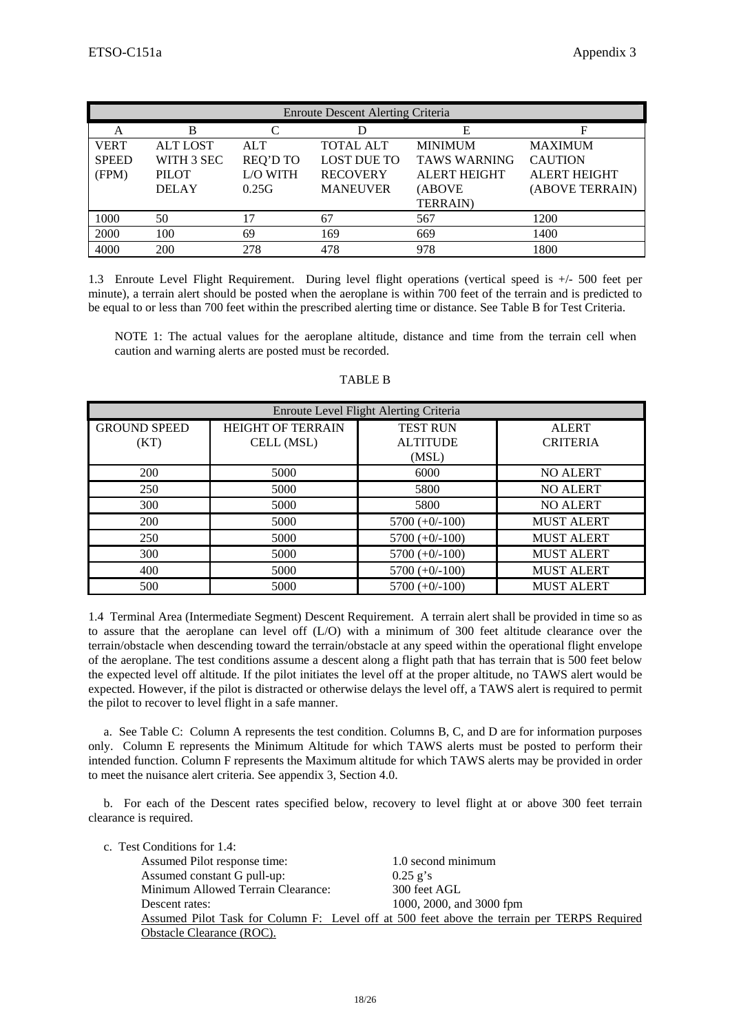| <b>Enroute Descent Alerting Criteria</b> |                 |                 |                    |                     |                     |
|------------------------------------------|-----------------|-----------------|--------------------|---------------------|---------------------|
| А                                        | В               |                 |                    | E                   |                     |
| <b>VERT</b>                              | <b>ALT LOST</b> | <b>ALT</b>      | <b>TOTAL ALT</b>   | <b>MINIMUM</b>      | <b>MAXIMUM</b>      |
| <b>SPEED</b>                             | WITH 3 SEC      | <b>REQ'D TO</b> | <b>LOST DUE TO</b> | <b>TAWS WARNING</b> | <b>CAUTION</b>      |
| (FPM)                                    | <b>PILOT</b>    | <b>L/O WITH</b> | <b>RECOVERY</b>    | <b>ALERT HEIGHT</b> | <b>ALERT HEIGHT</b> |
|                                          | <b>DELAY</b>    | 0.25G           | <b>MANEUVER</b>    | (ABOVE              | (ABOVE TERRAIN)     |
|                                          |                 |                 |                    | <b>TERRAIN</b> )    |                     |
| 1000                                     | 50              | 17              | 67                 | 567                 | 1200                |
| 2000                                     | 100             | 69              | 169                | 669                 | 1400                |
| 4000                                     | 200             | 278             | 478                | 978                 | 1800                |

1.3 Enroute Level Flight Requirement. During level flight operations (vertical speed is +/- 500 feet per minute), a terrain alert should be posted when the aeroplane is within 700 feet of the terrain and is predicted to be equal to or less than 700 feet within the prescribed alerting time or distance. See Table B for Test Criteria.

NOTE 1: The actual values for the aeroplane altitude, distance and time from the terrain cell when caution and warning alerts are posted must be recorded.

| Enroute Level Flight Alerting Criteria |                          |                  |                   |  |
|----------------------------------------|--------------------------|------------------|-------------------|--|
| <b>GROUND SPEED</b>                    | <b>HEIGHT OF TERRAIN</b> | <b>TEST RUN</b>  | <b>ALERT</b>      |  |
| (KT)                                   | CELL (MSL)               | <b>ALTITUDE</b>  | <b>CRITERIA</b>   |  |
|                                        |                          | (MSL)            |                   |  |
| <b>200</b>                             | 5000                     | 6000             | <b>NO ALERT</b>   |  |
| 250                                    | 5000                     | 5800             | <b>NO ALERT</b>   |  |
| 300                                    | 5000                     | 5800             | <b>NO ALERT</b>   |  |
| 200                                    | 5000                     | $5700 (+0/-100)$ | <b>MUST ALERT</b> |  |
| 250                                    | 5000                     | $5700 (+0/-100)$ | <b>MUST ALERT</b> |  |
| 300                                    | 5000                     | $5700 (+0/-100)$ | <b>MUST ALERT</b> |  |
| 400                                    | 5000                     | $5700 (+0/-100)$ | <b>MUST ALERT</b> |  |
| 500                                    | 5000                     | $5700 (+0/-100)$ | <b>MUST ALERT</b> |  |

#### TABLE B

1.4 Terminal Area (Intermediate Segment) Descent Requirement. A terrain alert shall be provided in time so as to assure that the aeroplane can level off (L/O) with a minimum of 300 feet altitude clearance over the terrain/obstacle when descending toward the terrain/obstacle at any speed within the operational flight envelope of the aeroplane. The test conditions assume a descent along a flight path that has terrain that is 500 feet below the expected level off altitude. If the pilot initiates the level off at the proper altitude, no TAWS alert would be expected. However, if the pilot is distracted or otherwise delays the level off, a TAWS alert is required to permit the pilot to recover to level flight in a safe manner.

 a. See Table C: Column A represents the test condition. Columns B, C, and D are for information purposes only. Column E represents the Minimum Altitude for which TAWS alerts must be posted to perform their intended function. Column F represents the Maximum altitude for which TAWS alerts may be provided in order to meet the nuisance alert criteria. See appendix 3, Section 4.0.

 b. For each of the Descent rates specified below, recovery to level flight at or above 300 feet terrain clearance is required.

| c. Test Conditions for 1.4:        |                                                                                             |
|------------------------------------|---------------------------------------------------------------------------------------------|
| Assumed Pilot response time:       | 1.0 second minimum                                                                          |
| Assumed constant G pull-up:        | $0.25$ g's                                                                                  |
| Minimum Allowed Terrain Clearance: | 300 feet AGL                                                                                |
| Descent rates:                     | 1000, 2000, and 3000 fpm                                                                    |
|                                    | Assumed Pilot Task for Column F: Level off at 500 feet above the terrain per TERPS Required |
| Obstacle Clearance (ROC).          |                                                                                             |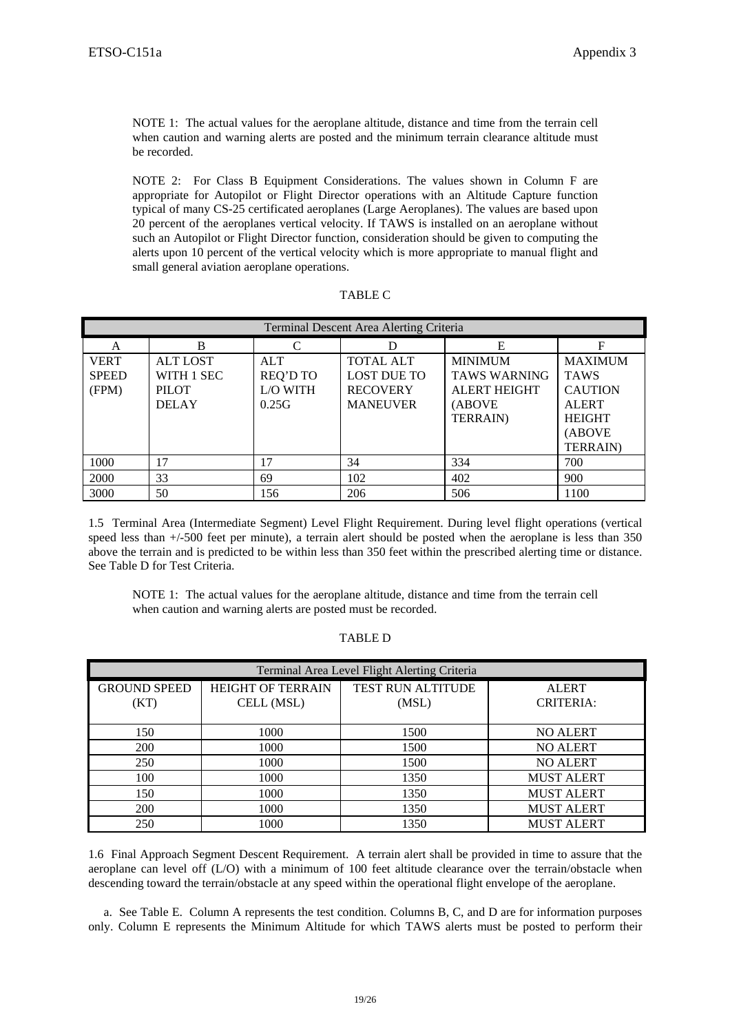NOTE 1: The actual values for the aeroplane altitude, distance and time from the terrain cell when caution and warning alerts are posted and the minimum terrain clearance altitude must be recorded.

NOTE 2: For Class B Equipment Considerations. The values shown in Column F are appropriate for Autopilot or Flight Director operations with an Altitude Capture function typical of many CS-25 certificated aeroplanes (Large Aeroplanes). The values are based upon 20 percent of the aeroplanes vertical velocity. If TAWS is installed on an aeroplane without such an Autopilot or Flight Director function, consideration should be given to computing the alerts upon 10 percent of the vertical velocity which is more appropriate to manual flight and small general aviation aeroplane operations.

| `ABI |  |
|------|--|
|------|--|

| Terminal Descent Area Alerting Criteria |                 |                 |                    |                     |                  |  |
|-----------------------------------------|-----------------|-----------------|--------------------|---------------------|------------------|--|
| A                                       | B               | C               |                    | E                   | F                |  |
| <b>VERT</b>                             | <b>ALT LOST</b> | <b>ALT</b>      | <b>TOTAL ALT</b>   | <b>MINIMUM</b>      | <b>MAXIMUM</b>   |  |
| <b>SPEED</b>                            | WITH 1 SEC      | <b>REQ'D TO</b> | <b>LOST DUE TO</b> | <b>TAWS WARNING</b> | <b>TAWS</b>      |  |
| (FPM)                                   | <b>PILOT</b>    | L/O WITH        | <b>RECOVERY</b>    | <b>ALERT HEIGHT</b> | <b>CAUTION</b>   |  |
|                                         | <b>DELAY</b>    | 0.25G           | <b>MANEUVER</b>    | (ABOVE              | <b>ALERT</b>     |  |
|                                         |                 |                 |                    | <b>TERRAIN</b> )    | <b>HEIGHT</b>    |  |
|                                         |                 |                 |                    |                     | (ABOVE           |  |
|                                         |                 |                 |                    |                     | <b>TERRAIN</b> ) |  |
| 1000                                    | 17              | 17              | 34                 | 334                 | 700              |  |
| 2000                                    | 33              | 69              | 102                | 402                 | 900              |  |
| 3000                                    | 50              | 156             | 206                | 506                 | 1100             |  |

1.5 Terminal Area (Intermediate Segment) Level Flight Requirement. During level flight operations (vertical speed less than +/-500 feet per minute), a terrain alert should be posted when the aeroplane is less than 350 above the terrain and is predicted to be within less than 350 feet within the prescribed alerting time or distance. See Table D for Test Criteria.

NOTE 1: The actual values for the aeroplane altitude, distance and time from the terrain cell when caution and warning alerts are posted must be recorded.

| Terminal Area Level Flight Alerting Criteria |                                        |                            |                                  |  |  |
|----------------------------------------------|----------------------------------------|----------------------------|----------------------------------|--|--|
| <b>GROUND SPEED</b><br>(KT)                  | <b>HEIGHT OF TERRAIN</b><br>CELL (MSL) | TEST RUN ALTITUDE<br>(MSL) | <b>ALERT</b><br><b>CRITERIA:</b> |  |  |
| 150                                          | 1000                                   | 1500                       | <b>NO ALERT</b>                  |  |  |
| <b>200</b>                                   | 1000                                   | 1500                       | <b>NO ALERT</b>                  |  |  |
| 250                                          | 1000                                   | 1500                       | <b>NO ALERT</b>                  |  |  |
| 100                                          | 1000                                   | 1350                       | <b>MUST ALERT</b>                |  |  |
| 150                                          | 1000                                   | 1350                       | <b>MUST ALERT</b>                |  |  |
| <b>200</b>                                   | 1000                                   | 1350                       | <b>MUST ALERT</b>                |  |  |
| 250                                          | 1000                                   | 1350                       | <b>MUST ALERT</b>                |  |  |

TABLE D

1.6 Final Approach Segment Descent Requirement. A terrain alert shall be provided in time to assure that the aeroplane can level off (L/O) with a minimum of 100 feet altitude clearance over the terrain/obstacle when descending toward the terrain/obstacle at any speed within the operational flight envelope of the aeroplane.

 a. See Table E. Column A represents the test condition. Columns B, C, and D are for information purposes only. Column E represents the Minimum Altitude for which TAWS alerts must be posted to perform their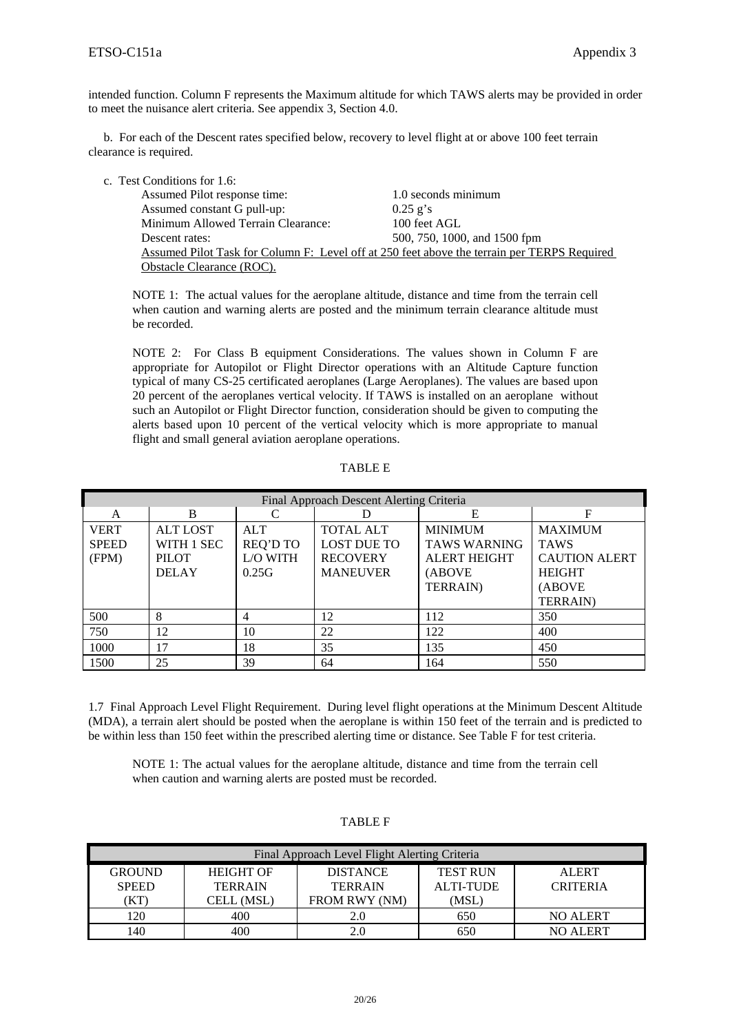intended function. Column F represents the Maximum altitude for which TAWS alerts may be provided in order to meet the nuisance alert criteria. See appendix 3, Section 4.0.

 b. For each of the Descent rates specified below, recovery to level flight at or above 100 feet terrain clearance is required.

c. Test Conditions for 1.6:

| . CONQHIONS TOF 1.0.                                                                        |                              |
|---------------------------------------------------------------------------------------------|------------------------------|
| Assumed Pilot response time:                                                                | 1.0 seconds minimum          |
| Assumed constant G pull-up:                                                                 | $0.25$ g's                   |
| Minimum Allowed Terrain Clearance:                                                          | 100 feet AGL                 |
| Descent rates:                                                                              | 500, 750, 1000, and 1500 fpm |
| Assumed Pilot Task for Column F: Level off at 250 feet above the terrain per TERPS Required |                              |
| Obstacle Clearance (ROC).                                                                   |                              |

NOTE 1: The actual values for the aeroplane altitude, distance and time from the terrain cell when caution and warning alerts are posted and the minimum terrain clearance altitude must be recorded.

NOTE 2: For Class B equipment Considerations. The values shown in Column F are appropriate for Autopilot or Flight Director operations with an Altitude Capture function typical of many CS-25 certificated aeroplanes (Large Aeroplanes). The values are based upon 20 percent of the aeroplanes vertical velocity. If TAWS is installed on an aeroplane without such an Autopilot or Flight Director function, consideration should be given to computing the alerts based upon 10 percent of the vertical velocity which is more appropriate to manual flight and small general aviation aeroplane operations.

TABLE E

| Final Approach Descent Alerting Criteria |                 |                 |                    |                     |                      |
|------------------------------------------|-----------------|-----------------|--------------------|---------------------|----------------------|
| A                                        | B               |                 |                    | Е                   | F                    |
| <b>VERT</b>                              | <b>ALT LOST</b> | <b>ALT</b>      | <b>TOTAL ALT</b>   | <b>MINIMUM</b>      | <b>MAXIMUM</b>       |
| <b>SPEED</b>                             | WITH 1 SEC      | <b>REQ'D TO</b> | <b>LOST DUE TO</b> | <b>TAWS WARNING</b> | <b>TAWS</b>          |
| (FPM)                                    | <b>PILOT</b>    | L/O WITH        | <b>RECOVERY</b>    | <b>ALERT HEIGHT</b> | <b>CAUTION ALERT</b> |
|                                          | <b>DELAY</b>    | 0.25G           | <b>MANEUVER</b>    | (ABOVE              | <b>HEIGHT</b>        |
|                                          |                 |                 |                    | <b>TERRAIN</b> )    | (ABOVE               |
|                                          |                 |                 |                    |                     | <b>TERRAIN</b> )     |
| 500                                      | 8               | 4               | 12                 | 112                 | 350                  |
| 750                                      | 12              | 10              | 22                 | 122                 | 400                  |
| 1000                                     | 17              | 18              | 35                 | 135                 | 450                  |
| 1500                                     | 25              | 39              | 64                 | 164                 | 550                  |

1.7 Final Approach Level Flight Requirement. During level flight operations at the Minimum Descent Altitude (MDA), a terrain alert should be posted when the aeroplane is within 150 feet of the terrain and is predicted to be within less than 150 feet within the prescribed alerting time or distance. See Table F for test criteria.

NOTE 1: The actual values for the aeroplane altitude, distance and time from the terrain cell when caution and warning alerts are posted must be recorded.

| Final Approach Level Flight Alerting Criteria |                  |                 |                  |                 |  |  |
|-----------------------------------------------|------------------|-----------------|------------------|-----------------|--|--|
| <b>GROUND</b>                                 | <b>HEIGHT OF</b> | <b>DISTANCE</b> | <b>TEST RUN</b>  | <b>ALERT</b>    |  |  |
| <b>SPEED</b>                                  | <b>TERRAIN</b>   | <b>TERRAIN</b>  | <b>ALTI-TUDE</b> | <b>CRITERIA</b> |  |  |
| (KT)                                          | CELL (MSL)       | FROM RWY (NM)   | (MSL)            |                 |  |  |
| 120                                           | 400              | 2.0             | 650              | NO ALERT        |  |  |
| 140                                           | 400              | 2.0             | 650              | NO ALERT        |  |  |

TABLE F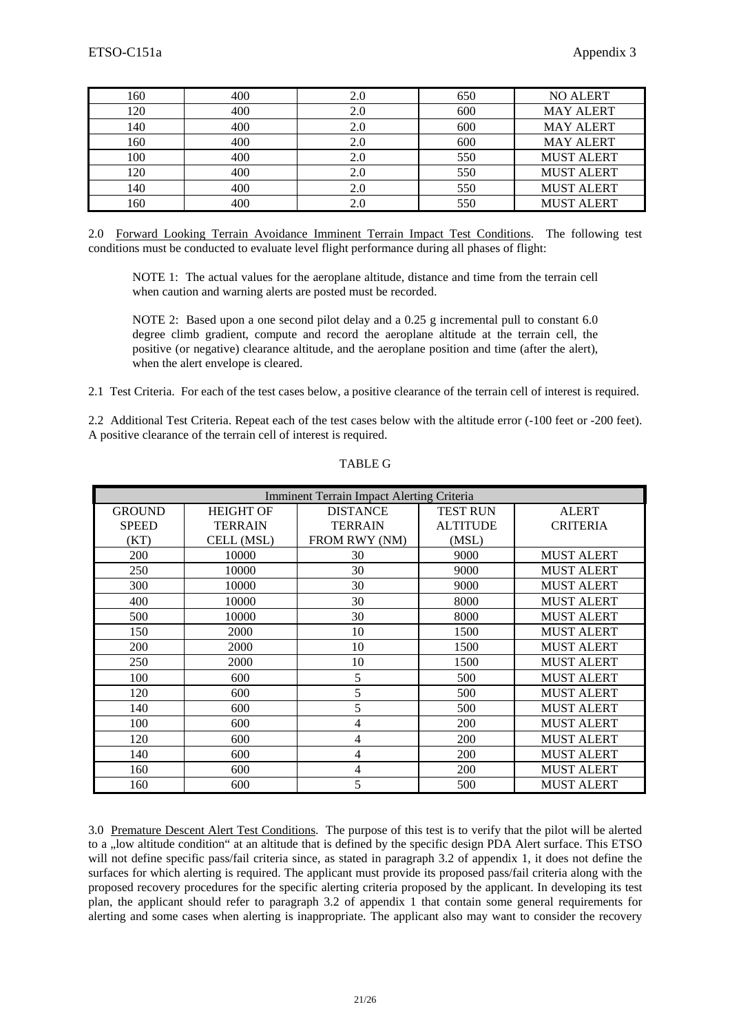| 160 | 400 | 2.0 | 650 | <b>NO ALERT</b>   |
|-----|-----|-----|-----|-------------------|
| 120 | 400 | 2.0 | 600 | <b>MAY ALERT</b>  |
| 140 | 400 | 2.0 | 600 | <b>MAY ALERT</b>  |
| 160 | 400 | 2.0 | 600 | <b>MAY ALERT</b>  |
| 100 | 400 | 2.0 | 550 | <b>MUST ALERT</b> |
| 120 | 400 | 2.0 | 550 | <b>MUST ALERT</b> |
| 140 | 400 | 2.0 | 550 | <b>MUST ALERT</b> |
| 160 | 400 |     | 550 | <b>MUST ALERT</b> |

2.0 Forward Looking Terrain Avoidance Imminent Terrain Impact Test Conditions. The following test conditions must be conducted to evaluate level flight performance during all phases of flight:

NOTE 1: The actual values for the aeroplane altitude, distance and time from the terrain cell when caution and warning alerts are posted must be recorded.

NOTE 2: Based upon a one second pilot delay and a 0.25 g incremental pull to constant 6.0 degree climb gradient, compute and record the aeroplane altitude at the terrain cell, the positive (or negative) clearance altitude, and the aeroplane position and time (after the alert), when the alert envelope is cleared.

2.1 Test Criteria. For each of the test cases below, a positive clearance of the terrain cell of interest is required.

2.2 Additional Test Criteria. Repeat each of the test cases below with the altitude error (-100 feet or -200 feet). A positive clearance of the terrain cell of interest is required.

| <b>Imminent Terrain Impact Alerting Criteria</b> |                  |                 |                 |                   |  |
|--------------------------------------------------|------------------|-----------------|-----------------|-------------------|--|
| <b>GROUND</b>                                    | <b>HEIGHT OF</b> | <b>DISTANCE</b> | <b>TEST RUN</b> | <b>ALERT</b>      |  |
| <b>SPEED</b>                                     | <b>TERRAIN</b>   | <b>TERRAIN</b>  | <b>ALTITUDE</b> | <b>CRITERIA</b>   |  |
| (KT)                                             | CELL (MSL)       | FROM RWY (NM)   | (MSL)           |                   |  |
| 200                                              | 10000            | 30              | 9000            | <b>MUST ALERT</b> |  |
| 250                                              | 10000            | 30              | 9000            | <b>MUST ALERT</b> |  |
| 300                                              | 10000            | 30              | 9000            | <b>MUST ALERT</b> |  |
| 400                                              | 10000            | 30              | 8000            | <b>MUST ALERT</b> |  |
| 500                                              | 10000            | 30              | 8000            | <b>MUST ALERT</b> |  |
| 150                                              | 2000             | 10              | 1500            | <b>MUST ALERT</b> |  |
| 200                                              | 2000             | 10              | 1500            | <b>MUST ALERT</b> |  |
| 250                                              | 2000             | 10              | 1500            | <b>MUST ALERT</b> |  |
| 100                                              | 600              | 5               | 500             | <b>MUST ALERT</b> |  |
| 120                                              | 600              | 5               | 500             | <b>MUST ALERT</b> |  |
| 140                                              | 600              | 5               | 500             | <b>MUST ALERT</b> |  |
| 100                                              | 600              | 4               | 200             | <b>MUST ALERT</b> |  |
| 120                                              | 600              | 4               | 200             | <b>MUST ALERT</b> |  |
| 140                                              | 600              | 4               | 200             | <b>MUST ALERT</b> |  |
| 160                                              | 600              | 4               | 200             | <b>MUST ALERT</b> |  |
| 160                                              | 600              | 5               | 500             | <b>MUST ALERT</b> |  |

## TABLE G

3.0 Premature Descent Alert Test Conditions. The purpose of this test is to verify that the pilot will be alerted to a "low altitude condition" at an altitude that is defined by the specific design PDA Alert surface. This ETSO will not define specific pass/fail criteria since, as stated in paragraph 3.2 of appendix 1, it does not define the surfaces for which alerting is required. The applicant must provide its proposed pass/fail criteria along with the proposed recovery procedures for the specific alerting criteria proposed by the applicant. In developing its test plan, the applicant should refer to paragraph 3.2 of appendix 1 that contain some general requirements for alerting and some cases when alerting is inappropriate. The applicant also may want to consider the recovery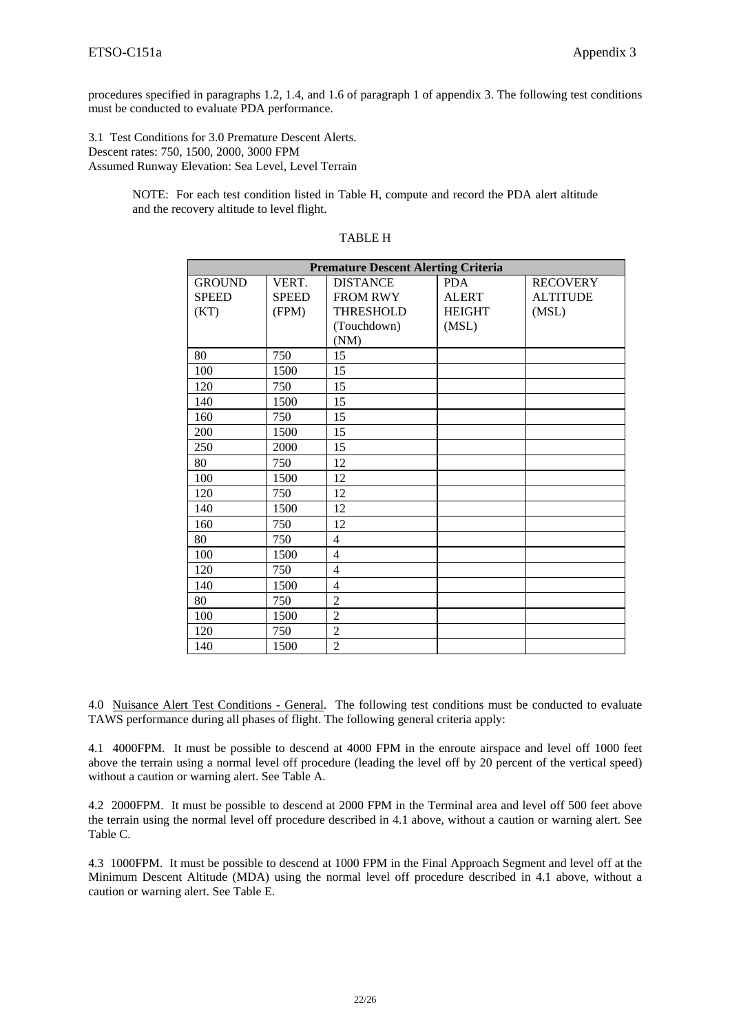procedures specified in paragraphs 1.2, 1.4, and 1.6 of paragraph 1 of appendix 3. The following test conditions must be conducted to evaluate PDA performance.

3.1 Test Conditions for 3.0 Premature Descent Alerts. Descent rates: 750, 1500, 2000, 3000 FPM Assumed Runway Elevation: Sea Level, Level Terrain

> NOTE: For each test condition listed in Table H, compute and record the PDA alert altitude and the recovery altitude to level flight.

| <b>Premature Descent Alerting Criteria</b> |              |                  |               |                 |
|--------------------------------------------|--------------|------------------|---------------|-----------------|
| <b>GROUND</b>                              | VERT.        | <b>DISTANCE</b>  | <b>PDA</b>    | <b>RECOVERY</b> |
| <b>SPEED</b>                               | <b>SPEED</b> | <b>FROM RWY</b>  | <b>ALERT</b>  | <b>ALTITUDE</b> |
| (KT)                                       | (FPM)        | <b>THRESHOLD</b> | <b>HEIGHT</b> | (MSL)           |
|                                            |              | (Touchdown)      | (MSL)         |                 |
|                                            |              | (NM)             |               |                 |
| 80                                         | 750          | 15               |               |                 |
| 100                                        | 1500         | 15               |               |                 |
| 120                                        | 750          | 15               |               |                 |
| 140                                        | 1500         | 15               |               |                 |
| 160                                        | 750          | 15               |               |                 |
| 200                                        | 1500         | 15               |               |                 |
| 250                                        | 2000         | 15               |               |                 |
| 80                                         | 750          | 12               |               |                 |
| 100                                        | 1500         | 12               |               |                 |
| 120                                        | 750          | 12               |               |                 |
| 140                                        | 1500         | 12               |               |                 |
| 160                                        | 750          | 12               |               |                 |
| 80                                         | 750          | $\overline{4}$   |               |                 |
| 100                                        | 1500         | $\overline{4}$   |               |                 |
| 120                                        | 750          | $\overline{4}$   |               |                 |
| 140                                        | 1500         | $\overline{4}$   |               |                 |
| 80                                         | 750          | $\overline{2}$   |               |                 |
| 100                                        | 1500         | $\overline{2}$   |               |                 |
| 120                                        | 750          | $\overline{2}$   |               |                 |
| 140                                        | 1500         | $\overline{2}$   |               |                 |

#### TABLE H

4.0 Nuisance Alert Test Conditions - General. The following test conditions must be conducted to evaluate TAWS performance during all phases of flight. The following general criteria apply:

4.1 4000FPM. It must be possible to descend at 4000 FPM in the enroute airspace and level off 1000 feet above the terrain using a normal level off procedure (leading the level off by 20 percent of the vertical speed) without a caution or warning alert. See Table A.

4.2 2000FPM. It must be possible to descend at 2000 FPM in the Terminal area and level off 500 feet above the terrain using the normal level off procedure described in 4.1 above, without a caution or warning alert. See Table C.

4.3 1000FPM. It must be possible to descend at 1000 FPM in the Final Approach Segment and level off at the Minimum Descent Altitude (MDA) using the normal level off procedure described in 4.1 above, without a caution or warning alert. See Table E.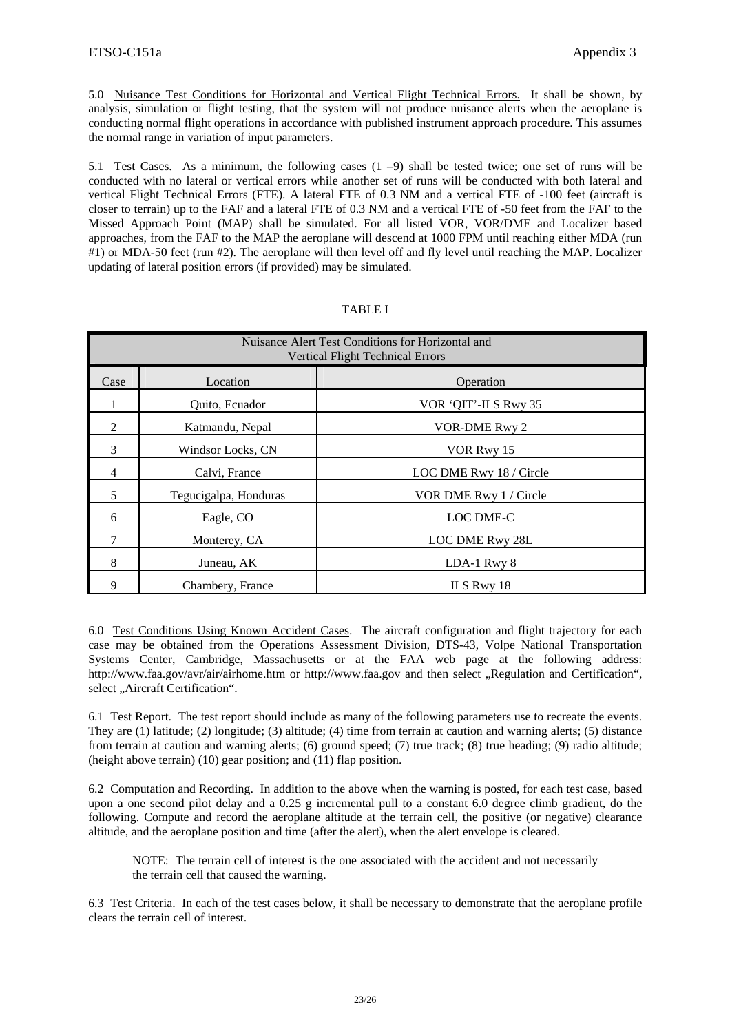5.0 Nuisance Test Conditions for Horizontal and Vertical Flight Technical Errors. It shall be shown, by analysis, simulation or flight testing, that the system will not produce nuisance alerts when the aeroplane is conducting normal flight operations in accordance with published instrument approach procedure. This assumes the normal range in variation of input parameters.

5.1 Test Cases. As a minimum, the following cases (1 –9) shall be tested twice; one set of runs will be conducted with no lateral or vertical errors while another set of runs will be conducted with both lateral and vertical Flight Technical Errors (FTE). A lateral FTE of 0.3 NM and a vertical FTE of -100 feet (aircraft is closer to terrain) up to the FAF and a lateral FTE of 0.3 NM and a vertical FTE of -50 feet from the FAF to the Missed Approach Point (MAP) shall be simulated. For all listed VOR, VOR/DME and Localizer based approaches, from the FAF to the MAP the aeroplane will descend at 1000 FPM until reaching either MDA (run #1) or MDA-50 feet (run #2). The aeroplane will then level off and fly level until reaching the MAP. Localizer updating of lateral position errors (if provided) may be simulated.

|      | Nuisance Alert Test Conditions for Horizontal and<br><b>Vertical Flight Technical Errors</b> |                         |  |  |
|------|----------------------------------------------------------------------------------------------|-------------------------|--|--|
| Case | Location                                                                                     | Operation               |  |  |
|      | Quito, Ecuador                                                                               | VOR 'QIT'-ILS Rwy 35    |  |  |
| 2    | Katmandu, Nepal                                                                              | <b>VOR-DME Rwy 2</b>    |  |  |
| 3    | Windsor Locks, CN                                                                            | VOR Rwy 15              |  |  |
| 4    | Calvi, France                                                                                | LOC DME Rwy 18 / Circle |  |  |
| 5    | Tegucigalpa, Honduras                                                                        | VOR DME Rwy 1 / Circle  |  |  |
| 6    | Eagle, CO                                                                                    | LOC DME-C               |  |  |
|      | Monterey, CA                                                                                 | LOC DME Rwy 28L         |  |  |
| 8    | Juneau, AK                                                                                   | LDA-1 Rwy 8             |  |  |
| 9    | Chambery, France                                                                             | ILS Rwy 18              |  |  |

#### TABLE I

6.0 Test Conditions Using Known Accident Cases. The aircraft configuration and flight trajectory for each case may be obtained from the Operations Assessment Division, DTS-43, Volpe National Transportation Systems Center, Cambridge, Massachusetts or at the FAA web page at the following address: http://www.faa.gov/avr/air/airhome.htm or http://www.faa.gov and then select "Regulation and Certification", select "Aircraft Certification".

6.1 Test Report. The test report should include as many of the following parameters use to recreate the events. They are (1) latitude; (2) longitude; (3) altitude; (4) time from terrain at caution and warning alerts; (5) distance from terrain at caution and warning alerts; (6) ground speed; (7) true track; (8) true heading; (9) radio altitude; (height above terrain) (10) gear position; and (11) flap position.

6.2 Computation and Recording. In addition to the above when the warning is posted, for each test case, based upon a one second pilot delay and a 0.25 g incremental pull to a constant 6.0 degree climb gradient, do the following. Compute and record the aeroplane altitude at the terrain cell, the positive (or negative) clearance altitude, and the aeroplane position and time (after the alert), when the alert envelope is cleared.

NOTE: The terrain cell of interest is the one associated with the accident and not necessarily the terrain cell that caused the warning.

6.3 Test Criteria.In each of the test cases below, it shall be necessary to demonstrate that the aeroplane profile clears the terrain cell of interest.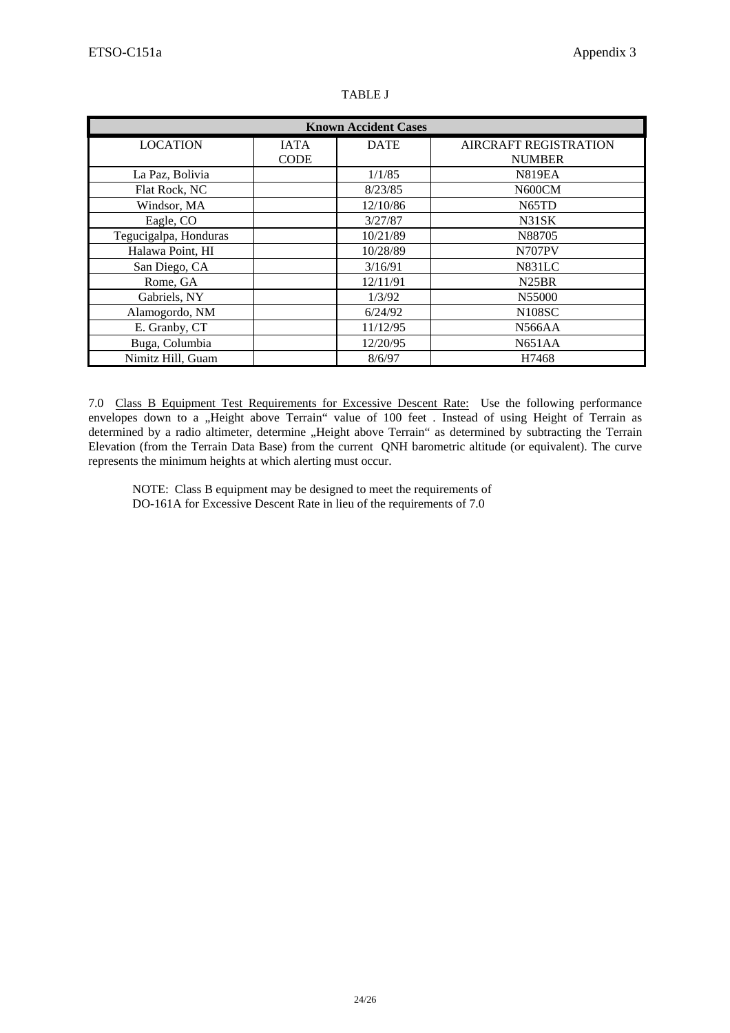| <b>Known Accident Cases</b> |                            |             |                                               |  |  |
|-----------------------------|----------------------------|-------------|-----------------------------------------------|--|--|
| <b>LOCATION</b>             | <b>IATA</b><br><b>CODE</b> | <b>DATE</b> | <b>AIRCRAFT REGISTRATION</b><br><b>NUMBER</b> |  |  |
| La Paz, Bolivia             |                            | 1/1/85      | <b>N819EA</b>                                 |  |  |
| Flat Rock, NC               |                            | 8/23/85     | N600CM                                        |  |  |
| Windsor, MA                 |                            | 12/10/86    | N <sub>65</sub> TD                            |  |  |
| Eagle, CO                   |                            | 3/27/87     | N31SK                                         |  |  |
| Tegucigalpa, Honduras       |                            | 10/21/89    | N88705                                        |  |  |
| Halawa Point, HI            |                            | 10/28/89    | <b>N707PV</b>                                 |  |  |
| San Diego, CA               |                            | 3/16/91     | <b>N831LC</b>                                 |  |  |
| Rome, GA                    |                            | 12/11/91    | N <sub>25</sub> BR                            |  |  |
| Gabriels, NY                |                            | 1/3/92      | N55000                                        |  |  |
| Alamogordo, NM              |                            | 6/24/92     | <b>N108SC</b>                                 |  |  |
| E. Granby, CT               |                            | 11/12/95    | <b>N566AA</b>                                 |  |  |
| Buga, Columbia              |                            | 12/20/95    | N651AA                                        |  |  |
| Nimitz Hill, Guam           |                            | 8/6/97      | H7468                                         |  |  |

#### TABLE J

7.0 Class B Equipment Test Requirements for Excessive Descent Rate: Use the following performance envelopes down to a "Height above Terrain" value of 100 feet . Instead of using Height of Terrain as determined by a radio altimeter, determine "Height above Terrain" as determined by subtracting the Terrain Elevation (from the Terrain Data Base) from the current QNH barometric altitude (or equivalent). The curve represents the minimum heights at which alerting must occur.

NOTE: Class B equipment may be designed to meet the requirements of DO-161A for Excessive Descent Rate in lieu of the requirements of 7.0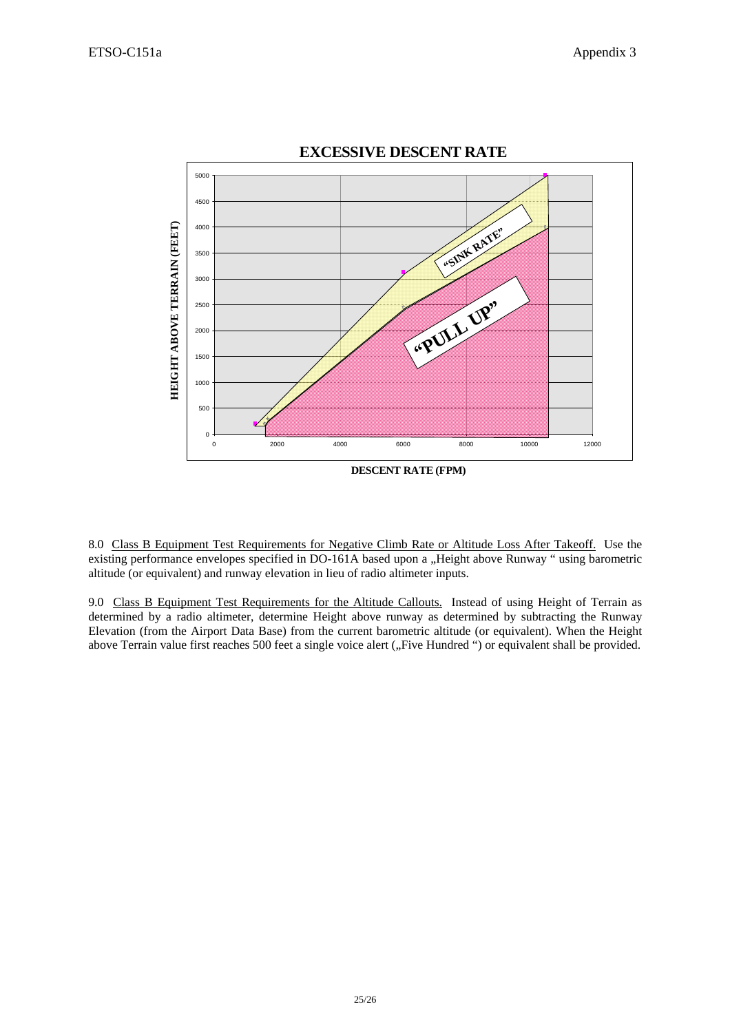

8.0 Class B Equipment Test Requirements for Negative Climb Rate or Altitude Loss After Takeoff. Use the existing performance envelopes specified in DO-161A based upon a "Height above Runway " using barometric altitude (or equivalent) and runway elevation in lieu of radio altimeter inputs.

9.0 Class B Equipment Test Requirements for the Altitude Callouts. Instead of using Height of Terrain as determined by a radio altimeter, determine Height above runway as determined by subtracting the Runway Elevation (from the Airport Data Base) from the current barometric altitude (or equivalent). When the Height above Terrain value first reaches 500 feet a single voice alert ("Five Hundred ") or equivalent shall be provided.